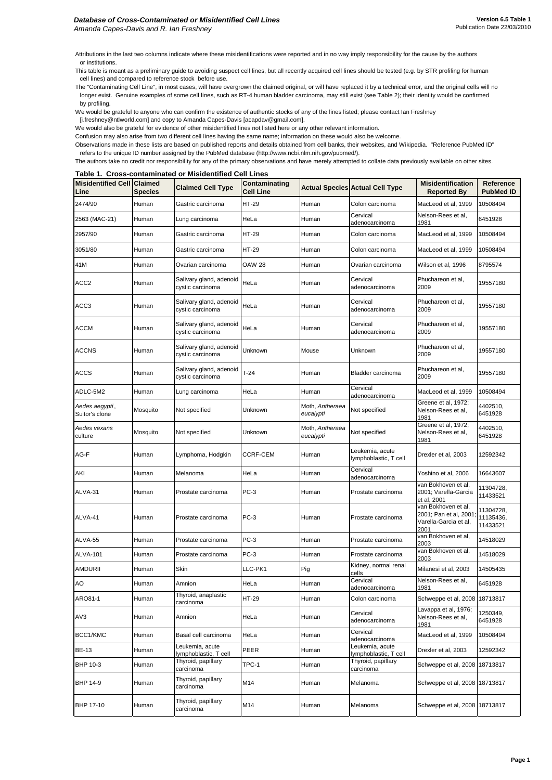Attributions in the last two columns indicate where these misidentifications were reported and in no way imply responsibility for the cause by the authors or institutions.

This table is meant as a preliminary guide to avoiding suspect cell lines, but all recently acquired cell lines should be tested (e.g. by STR profiling for human cell lines) and compared to reference stock before use.

The "Contaminating Cell Line", in most cases, will have overgrown the claimed original, or will have replaced it by a technical error, and the original cells will no longer exist. Genuine examples of some cell lines, such as RT-4 human bladder carcinoma, may still exist (see Table 2); their identity would be confirmed by profiling.

We would be grateful to anyone who can confirm the existence of authentic stocks of any of the lines listed; please contact Ian Freshney

[i.freshney@ntlworld.com] and copy to Amanda Capes-Davis [acapdav@gmail.com].

We would also be grateful for evidence of other misidentified lines not listed here or any other relevant information.

Confusion may also arise from two different cell lines having the same name; information on these would also be welcome.

Observations made in these lists are based on published reports and details obtained from cell banks, their websites, and Wikipedia. "Reference PubMed ID" refers to the unique ID number assigned by the PubMed database (http://www.ncbi.nlm.nih.gov/pubmed/).

The authors take no credit nor responsibility for any of the primary observations and have merely attempted to collate data previously available on other sites.

#### **Table 1. Cross-contaminated or Misidentified Cell Lines**

| <b>Misidentified Cell Claimed</b><br>Line | <b>Species</b> | <b>Claimed Cell Type</b>                    | <b>Contaminating</b><br><b>Cell Line</b> |                              | <b>Actual Species Actual Cell Type</b>   | <b>Misidentification</b><br><b>Reported By</b>                                | <b>Reference</b><br><b>PubMed ID</b> |
|-------------------------------------------|----------------|---------------------------------------------|------------------------------------------|------------------------------|------------------------------------------|-------------------------------------------------------------------------------|--------------------------------------|
| 2474/90                                   | Human          | Gastric carcinoma                           | <b>HT-29</b>                             | <b>I</b> Human               | Colon carcinoma                          | MacLeod et al, 1999                                                           | 10508494                             |
| 2563 (MAC-21)                             | Human          | Lung carcinoma                              | HeLa                                     | Human                        | Cervical<br>adenocarcinoma               | Nelson-Rees et al,<br>1981                                                    | 6451928                              |
| 2957/90                                   | Human          | Gastric carcinoma                           | <b>HT-29</b>                             | Human                        | Colon carcinoma                          | MacLeod et al, 1999                                                           | 10508494                             |
| 3051/80                                   | Human          | Gastric carcinoma                           | <b>HT-29</b>                             | Human                        | Colon carcinoma                          | MacLeod et al, 1999                                                           | 10508494                             |
| 41M                                       | Human          | Ovarian carcinoma                           | <b>OAW 28</b>                            | Human                        | Ovarian carcinoma                        | Wilson et al, 1996                                                            | 8795574                              |
| ACC <sub>2</sub>                          | Human          | Salivary gland, adenoid<br>cystic carcinoma | HeLa                                     | Human                        | Cervical<br>adenocarcinoma               | Phuchareon et al,<br>2009                                                     | 19557180                             |
| ACC <sub>3</sub>                          | Human          | Salivary gland, adenoid<br>cystic carcinoma | HeLa                                     | Human                        | Cervical<br>adenocarcinoma               | Phuchareon et al,<br>2009                                                     | 19557180                             |
| <b>ACCM</b>                               | Human          | Salivary gland, adenoid<br>cystic carcinoma | HeLa                                     | Human                        | Cervical<br>adenocarcinoma               | Phuchareon et al,<br>2009                                                     | 19557180                             |
| <b>ACCNS</b>                              | Human          | Salivary gland, adenoid<br>cystic carcinoma | Unknown                                  | Mouse                        | Unknown                                  | Phuchareon et al,<br>2009                                                     | 19557180                             |
| <b>ACCS</b>                               | Human          | Salivary gland, adenoid<br>cystic carcinoma | $T-24$                                   | Human                        | Bladder carcinoma                        | Phuchareon et al,<br>2009                                                     | 19557180                             |
| ADLC-5M2                                  | Human          | Lung carcinoma                              | HeLa                                     | Human                        | Cervical<br>adenocarcinoma               | MacLeod et al, 1999                                                           | 10508494                             |
| Aedes aegypti,<br>Suitor's clone          | Mosquito       | Not specified                               | Unknown                                  | Moth, Antheraea<br>eucalypti | Not specified                            | Greene et al, 1972;<br>Nelson-Rees et al,<br>1981                             | 4402510,<br>6451928                  |
| Aedes vexans<br>culture                   | Mosquito       | Not specified                               | Unknown                                  | Moth, Antheraea<br>eucalypti | Not specified                            | Greene et al, 1972;<br>Nelson-Rees et al,<br>1981                             | 4402510,<br>6451928                  |
| AG-F                                      | Human          | Lymphoma, Hodgkin                           | <b>CCRF-CEM</b>                          | Human                        | Leukemia, acute<br>lymphoblastic, T cell | Drexler et al, 2003                                                           | 12592342                             |
| AKI                                       | Human          | Melanoma                                    | HeLa                                     | Human                        | Cervical<br>adenocarcinoma               | Yoshino et al, 2006                                                           | 16643607                             |
| ALVA-31                                   | Human          | Prostate carcinoma                          | $PC-3$                                   | Human                        | Prostate carcinoma                       | van Bokhoven et al,<br>2001; Varella-Garcia<br>et al, 2001                    | 11304728,<br>11433521                |
| ALVA-41                                   | Human          | Prostate carcinoma                          | PC-3                                     | Human                        | Prostate carcinoma                       | van Bokhoven et al,<br>2001; Pan et al, 2001<br>Varella-Garcia et al,<br>2001 | 11304728,<br>11135436,<br>11433521   |
| ALVA-55                                   | Human          | Prostate carcinoma                          | PC-3                                     | Human                        | Prostate carcinoma                       | van Bokhoven et al,<br>2003                                                   | 14518029                             |
| <b>ALVA-101</b>                           | Human          | Prostate carcinoma                          | $PC-3$                                   | Human                        | Prostate carcinoma                       | van Bokhoven et al,<br>2003                                                   | 14518029                             |
| <b>AMDURII</b>                            | Human          | Skin                                        | LLC-PK1                                  | Pig                          | Kidney, normal renal<br>cells            | Milanesi et al, 2003                                                          | 14505435                             |
| AO                                        | Human          | Amnion                                      | HeLa                                     | Human                        | Cervical<br>adenocarcinoma               | Nelson-Rees et al,<br>1981                                                    | 6451928                              |
| ARO81-1                                   | Human          | Thyroid, anaplastic<br>carcinoma            | <b>HT-29</b>                             | Human                        | Colon carcinoma                          | Schweppe et al, 2008 18713817                                                 |                                      |
| AV3                                       | Human          | Amnion                                      | HeLa                                     | Human                        | Cervical<br>adenocarcinoma               | Lavappa et al, 1976;<br>Nelson-Rees et al,<br>1981                            | 1250349,<br>6451928                  |
| BCC1/KMC                                  | Human          | Basal cell carcinoma                        | HeLa                                     | Human                        | Cervical<br>adenocarcinoma               | MacLeod et al, 1999                                                           | 10508494                             |
| <b>BE-13</b>                              | Human          | Leukemia, acute<br>lymphoblastic, T cell    | PEER                                     | Human                        | Leukemia, acute<br>lymphoblastic, T cell | Drexler et al, 2003                                                           | 12592342                             |
| <b>BHP 10-3</b>                           | Human          | Thyroid, papillary<br>carcinoma             | TPC-1                                    | Human                        | Thyroid, papillary<br>carcinoma          | Schweppe et al, 2008 18713817                                                 |                                      |
| <b>BHP 14-9</b>                           | Human          | Thyroid, papillary<br>carcinoma             | M14                                      | Human                        | Melanoma                                 | Schweppe et al, 2008 18713817                                                 |                                      |
| <b>BHP 17-10</b>                          | Human          | Thyroid, papillary<br>carcinoma             | M14                                      | Human                        | Melanoma                                 | Schweppe et al, 2008 18713817                                                 |                                      |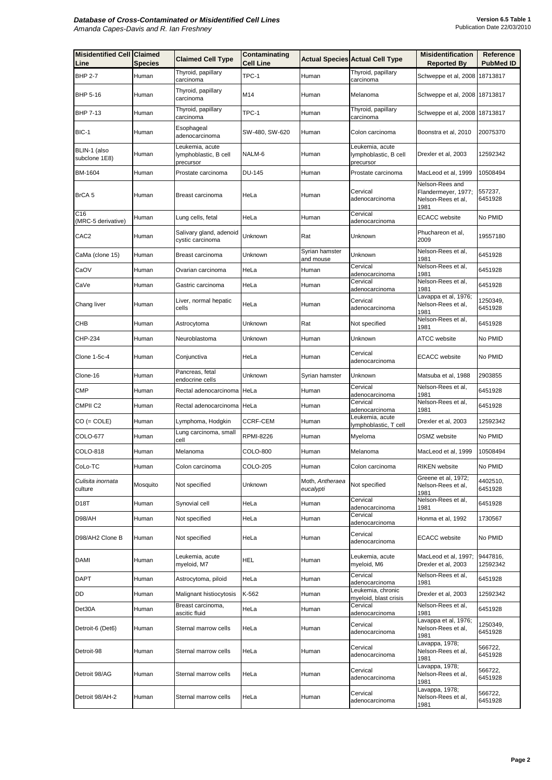| <b>Misidentified Cell Claimed</b><br>Line | <b>Species</b> | <b>Claimed Cell Type</b>                              | <b>Contaminating</b><br><b>Cell Line</b> |                              | <b>Actual Species Actual Cell Type</b>                | <b>Misidentification</b><br><b>Reported By</b>                       | <b>Reference</b><br><b>PubMed ID</b> |
|-------------------------------------------|----------------|-------------------------------------------------------|------------------------------------------|------------------------------|-------------------------------------------------------|----------------------------------------------------------------------|--------------------------------------|
| <b>BHP 2-7</b>                            | Human          | Thyroid, papillary<br>carcinoma                       | TPC-1                                    | Human                        | Thyroid, papillary<br>carcinoma                       | Schweppe et al, 2008 18713817                                        |                                      |
| <b>BHP 5-16</b>                           | Human          | Thyroid, papillary<br>carcinoma                       | M14                                      | Human                        | Melanoma                                              | Schweppe et al, 2008 18713817                                        |                                      |
| <b>BHP 7-13</b>                           | Human          | Thyroid, papillary<br>carcinoma                       | TPC-1                                    | Human                        | Thyroid, papillary<br>carcinoma                       | Schweppe et al, 2008 18713817                                        |                                      |
| BIC-1                                     | Human          | Esophageal<br>adenocarcinoma                          | SW-480, SW-620                           | Human                        | Colon carcinoma                                       | Boonstra et al, 2010                                                 | 20075370                             |
| BLIN-1 (also<br>subclone 1E8)             | Human          | Leukemia, acute<br>lymphoblastic, B cell<br>precursor | NALM-6                                   | Human                        | Leukemia, acute<br>lymphoblastic, B cell<br>precursor | Drexler et al, 2003                                                  | 12592342                             |
| <b>BM-1604</b>                            | Human          | Prostate carcinoma                                    | <b>DU-145</b>                            | Human                        | Prostate carcinoma                                    | MacLeod et al, 1999                                                  | 10508494                             |
| BrCA <sub>5</sub>                         | Human          | Breast carcinoma                                      | HeLa                                     | Human                        | Cervical<br>adenocarcinoma                            | Nelson-Rees and<br>Flandermeyer, 1977;<br>Nelson-Rees et al,<br>1981 | 557237,<br>6451928                   |
| C <sub>16</sub><br>(MRC-5 derivative)     | Human          | Lung cells, fetal                                     | HeLa                                     | Human                        | Cervical<br>adenocarcinoma                            | <b>ECACC</b> website                                                 | No PMID                              |
| CAC <sub>2</sub>                          | Human          | Salivary gland, adenoid<br>cystic carcinoma           | Unknown                                  | Rat                          | Unknown                                               | Phuchareon et al,<br>2009                                            | 19557180                             |
| CaMa (clone 15)                           | Human          | Breast carcinoma                                      | Unknown                                  | Syrian hamster<br>and mouse  | Unknown                                               | Nelson-Rees et al,<br>1981                                           | 6451928                              |
| CaOV                                      | Human          | Ovarian carcinoma                                     | HeLa                                     | Human                        | Cervical                                              | Nelson-Rees et al,<br>1981                                           | 6451928                              |
| CaVe                                      | Human          | Gastric carcinoma                                     | HeLa                                     | Human                        | adenocarcinoma<br>Cervical                            | Nelson-Rees et al,                                                   | 6451928                              |
|                                           |                | Liver, normal hepatic                                 |                                          |                              | adenocarcinoma<br>Cervical                            | 1981<br>Lavappa et al, 1976;                                         | 1250349,                             |
| Chang liver                               | Human          | cells                                                 | HeLa                                     | Human                        | adenocarcinoma                                        | Nelson-Rees et al,<br>1981                                           | 6451928                              |
| <b>CHB</b>                                | Human          | Astrocytoma                                           | Unknown                                  | Rat                          | Not specified                                         | Nelson-Rees et al,<br>1981                                           | 6451928                              |
| <b>CHP-234</b>                            | Human          | Neuroblastoma                                         | Unknown                                  | Human                        | Unknown                                               | <b>ATCC</b> website                                                  | No PMID                              |
| Clone 1-5c-4                              | Human          | Conjunctiva                                           | HeLa                                     | Human                        | Cervical<br>adenocarcinoma                            | <b>ECACC</b> website                                                 | No PMID                              |
| Clone-16                                  | Human          | Pancreas, fetal<br>endocrine cells                    | Unknown                                  | Syrian hamster               | Unknown                                               | Matsuba et al, 1988                                                  | 2903855                              |
| <b>CMP</b>                                | Human          | Rectal adenocarcinoma HeLa                            |                                          | Human                        | Cervical<br>adenocarcinoma                            | Nelson-Rees et al,<br>1981                                           | 6451928                              |
| <b>CMPII C2</b>                           | Human          | Rectal adenocarcinoma HeLa                            |                                          | Human                        | Cervical<br>adenocarcinoma                            | Nelson-Rees et al,<br>1981                                           | 6451928                              |
| $CO (= COLE)$                             | Human          | Lymphoma, Hodgkin                                     | <b>CCRF-CEM</b>                          | Human                        | Leukemia, acute<br>lymphoblastic, T cell              | Drexler et al, 2003                                                  | 12592342                             |
| <b>COLO-677</b>                           | Human          | Lung carcinoma, small<br>cell                         | <b>RPMI-8226</b>                         | Human                        | Myeloma                                               | <b>DSMZ</b> website                                                  | No PMID                              |
| <b>COLO-818</b>                           | Human          | Melanoma                                              | <b>COLO-800</b>                          | Human                        | Melanoma                                              | MacLeod et al, 1999                                                  | 10508494                             |
| CoLo-TC                                   | Human          | Colon carcinoma                                       | <b>COLO-205</b>                          | Human                        | Colon carcinoma                                       | <b>RIKEN</b> website                                                 | No PMID                              |
| Culisita inornata<br>culture              | Mosquito       | Not specified                                         | Unknown                                  | Moth, Antheraea<br>eucalypti | Not specified                                         | Greene et al, 1972;<br>Nelson-Rees et al,<br>1981                    | 4402510,<br>6451928                  |
| <b>D18T</b>                               | Human          | Synovial cell                                         | HeLa                                     | Human                        | Cervical<br>adenocarcinoma                            | Nelson-Rees et al,<br>1981                                           | 6451928                              |
| D98/AH                                    | Human          | Not specified                                         | HeLa                                     | Human                        | Cervical<br>adenocarcinoma                            | Honma et al, 1992                                                    | 1730567                              |
| D98/AH2 Clone B                           | Human          | Not specified                                         | HeLa                                     | Human                        | Cervical<br>adenocarcinoma                            | <b>ECACC</b> website                                                 | No PMID                              |
| <b>DAMI</b>                               | Human          | Leukemia, acute<br>myeloid, M7                        | <b>HEL</b>                               | Human                        | Leukemia, acute<br>myeloid, M6                        | MacLeod et al, 1997;<br>Drexler et al, 2003                          | 9447816,<br>12592342                 |
| <b>DAPT</b>                               | Human          | Astrocytoma, piloid                                   | HeLa                                     | Human                        | Cervical<br>adenocarcinoma                            | Nelson-Rees et al,<br>1981                                           | 6451928                              |
| DD                                        | Human          | Malignant histiocytosis                               | K-562                                    | Human                        | Leukemia, chronic<br>myeloid, blast crisis            | Drexler et al, 2003                                                  | 12592342                             |
| Det30A                                    | Human          | Breast carcinoma,<br>ascitic fluid                    | HeLa                                     | Human                        | Cervical<br>adenocarcinoma                            | Nelson-Rees et al,<br>1981                                           | 6451928                              |
| Detroit-6 (Det6)                          | Human          | Sternal marrow cells                                  | HeLa                                     | Human                        | Cervical<br>adenocarcinoma                            | Lavappa et al, 1976;<br>Nelson-Rees et al,<br>1981                   | 1250349,<br>6451928                  |
| Detroit-98                                | Human          | Sternal marrow cells                                  | HeLa                                     | Human                        | Cervical<br>adenocarcinoma                            | Lavappa, 1978;<br>Nelson-Rees et al,<br>1981                         | 566722,<br>6451928                   |
| Detroit 98/AG                             | Human          | Sternal marrow cells                                  | HeLa                                     | Human                        | Cervical<br>adenocarcinoma                            | Lavappa, 1978;<br>Nelson-Rees et al,<br>1981                         | 566722,<br>6451928                   |
| Detroit 98/AH-2                           | Human          | Sternal marrow cells                                  | HeLa                                     | Human                        | Cervical<br>adenocarcinoma                            | Lavappa, 1978;<br>Nelson-Rees et al,<br>1981                         | 566722,<br>6451928                   |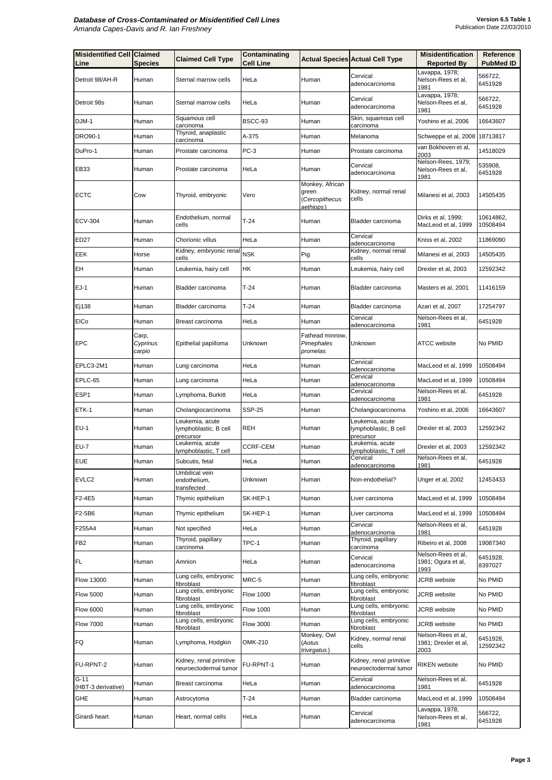| <b>Misidentified Cell Claimed</b><br>Line | <b>Species</b>              | <b>Claimed Cell Type</b>                              | Contaminating<br><b>Cell Line</b> |                                                         | <b>Actual Species Actual Cell Type</b>                | <b>Misidentification</b><br><b>Reported By</b>     | <b>Reference</b><br><b>PubMed ID</b> |
|-------------------------------------------|-----------------------------|-------------------------------------------------------|-----------------------------------|---------------------------------------------------------|-------------------------------------------------------|----------------------------------------------------|--------------------------------------|
| Detroit 98/AH-R                           | Human                       | Sternal marrow cells                                  | HeLa                              | Human                                                   | Cervical<br>adenocarcinoma                            | Lavappa, 1978;<br>Nelson-Rees et al,<br>1981       | 566722,<br>6451928                   |
| Detroit 98s                               | Human                       | Sternal marrow cells                                  | HeLa                              | Human                                                   | Cervical<br>adenocarcinoma                            | Lavappa, 1978;<br>Nelson-Rees et al,<br>1981       | 566722,<br>6451928                   |
| DJM-1                                     | Human                       | Squamous cell<br>carcinoma                            | BSCC-93                           | <b>Human</b>                                            | Skin, squamous cell<br>carcinoma                      | Yoshino et al, 2006                                | 16643607                             |
| <b>DRO90-1</b>                            | Human                       | Thyroid, anaplastic<br>carcinoma                      | A-375                             | Human                                                   | Melanoma                                              | Schweppe et al, 2008   18713817                    |                                      |
| DuPro-1                                   | Human                       | Prostate carcinoma                                    | $PC-3$                            | Human                                                   | Prostate carcinoma                                    | van Bokhoven et al,<br>2003                        | 14518029                             |
| <b>EB33</b>                               | Human                       | Prostate carcinoma                                    | HeLa                              | Human                                                   | Cervical<br>adenocarcinoma                            | Nelson-Rees, 1979;<br>Nelson-Rees et al,<br>1981   | 535908,<br>6451928                   |
| <b>ECTC</b>                               | Cow                         | Thyroid, embryonic                                    | Vero                              | Monkey, African<br>green<br>(Cercopithecus<br>aethiops) | Kidney, normal renal<br>cells                         | Milanesi et al, 2003                               | 14505435                             |
| <b>ECV-304</b>                            | Human                       | Endothelium, normal<br>cells                          | $T-24$                            | Human                                                   | Bladder carcinoma                                     | Dirks et al, 1999;<br>MacLeod et al, 1999          | 10614862,<br>10508494                |
| <b>ED27</b>                               | Human                       | Chorionic villus                                      | HeLa                              | Human                                                   | Cervical<br>adenocarcinoma                            | Kniss et al, 2002                                  | 11869090                             |
| <b>EEK</b>                                | Horse                       | Kidney, embryonic renal<br>cells                      | <b>NSK</b>                        | Pig                                                     | Kidney, normal renal<br>cells                         | Milanesi et al, 2003                               | 14505435                             |
| EH                                        | Human                       | Leukemia, hairy cell                                  | <b>HK</b>                         | Human                                                   | Leukemia, hairy cell                                  | Drexler et al, 2003                                | 12592342                             |
| $EJ-1$                                    | Human                       | Bladder carcinoma                                     | $T-24$                            | Human                                                   | Bladder carcinoma                                     | Masters et al, 2001                                | 11416159                             |
| Ej138                                     | Human                       | Bladder carcinoma                                     | $T-24$                            | Human                                                   | Bladder carcinoma                                     | Azari et al, 2007                                  | 17254797                             |
| <b>EICo</b>                               | Human                       | Breast carcinoma                                      | HeLa                              | Human                                                   | Cervical<br>adenocarcinoma                            | Nelson-Rees et al,<br>1981                         | 6451928                              |
| <b>EPC</b>                                | Carp,<br>Cyprinus<br>carpio | Epithelial papilloma                                  | Unknown                           | Fathead minnow,<br>Pimephales<br>promelas               | Unknown                                               | <b>ATCC</b> website                                | No PMID                              |
| EPLC3-2M1                                 | Human                       | Lung carcinoma                                        | HeLa                              | Human                                                   | Cervical<br>adenocarcinoma                            | MacLeod et al, 1999                                | 10508494                             |
| EPLC-65                                   | Human                       | Lung carcinoma                                        | HeLa                              | Human                                                   | Cervical<br>adenocarcinoma                            | MacLeod et al, 1999                                | 10508494                             |
| ESP <sub>1</sub>                          | Human                       | Lymphoma, Burkitt                                     | HeLa                              | Human                                                   | Cervical<br>adenocarcinoma                            | Nelson-Rees et al,<br>1981                         | 6451928                              |
| ETK-1                                     | Human                       | Cholangiocarcinoma                                    | <b>SSP-25</b>                     | Human                                                   | Cholangiocarcinoma                                    | Yoshino et al, 2006                                | 16643607                             |
| <b>EU-1</b>                               | Human                       | Leukemia, acute<br>lymphoblastic, B cell<br>precursor | <b>REH</b>                        | Human                                                   | Leukemia, acute<br>lymphoblastic, B cell<br>precursor | Drexler et al, 2003                                | 12592342                             |
| <b>EU-7</b>                               | Human                       | Leukemia, acute<br>lymphoblastic, T cell              | <b>CCRF-CEM</b>                   | Human                                                   | eukemia, acute<br>lymphoblastic, T cell               | Drexler et al, 2003                                | 12592342                             |
| <b>EUE</b>                                | Human                       | Subcutis, fetal                                       | HeLa                              | Human                                                   | Cervical<br>adenocarcinoma                            | Nelson-Rees et al,<br>1981                         | 6451928                              |
| EVLC <sub>2</sub>                         | Human                       | Umbilical vein<br>endothelium,<br>transfected         | Unknown                           | Human                                                   | Non-endothelial?                                      | Unger et al, 2002                                  | 12453433                             |
| F2-4E5                                    | Human                       | Thymic epithelium                                     | SK-HEP-1                          | Human                                                   | Liver carcinoma                                       | MacLeod et al, 1999                                | 10508494                             |
| F2-5B6                                    | Human                       | Thymic epithelium                                     | SK-HEP-1                          | Human                                                   | Liver carcinoma                                       | MacLeod et al, 1999                                | 10508494                             |
| F255A4                                    | Human                       | Not specified                                         | HeLa                              | Human                                                   | Cervical<br>adenocarcinoma                            | Nelson-Rees et al,<br>1981                         | 6451928                              |
| FB <sub>2</sub>                           | Human                       | Thyroid, papillary<br>carcinoma                       | TPC-1                             | Human                                                   | Thyroid, papillary<br>carcinoma                       | Ribeiro et al, 2008                                | 19087340                             |
| <b>IFL</b>                                | Human                       | Amnion                                                | HeLa                              | Human                                                   | Cervical<br>adenocarcinoma                            | Nelson-Rees et al,<br>1981; Ogura et al,<br>1993   | 6451928,<br>8397027                  |
| <b>Flow 13000</b>                         | Human                       | Lung cells, embryonic<br>fibroblast                   | MRC-5                             | Human                                                   | ung cells, embryonic<br>fibroblast                    | <b>JCRB</b> website                                | No PMID                              |
| <b>Flow 5000</b>                          | Human                       | Lung cells, embryonic<br>fibroblast                   | <b>Flow 1000</b>                  | Human                                                   | Lung cells, embryonic<br>fibroblast                   | <b>JCRB</b> website                                | No PMID                              |
| <b>Flow 6000</b>                          | Human                       | Lung cells, embryonic<br>fibroblast                   | <b>Flow 1000</b>                  | Human                                                   | ung cells, embryonic<br>fibroblast                    | <b>JCRB</b> website                                | No PMID                              |
| <b>Flow 7000</b>                          | Human                       | Lung cells, embryonic<br>fibroblast                   | <b>Flow 3000</b>                  | Human                                                   | Lung cells, embryonic<br>fibroblast                   | <b>JCRB</b> website                                | No PMID                              |
| FQ                                        | Human                       | Lymphoma, Hodgkin                                     | <b>OMK-210</b>                    | Monkey, Owl<br>(Aotus<br>trivirgatus)                   | Kidney, normal renal<br>cells                         | Nelson-Rees et al,<br>1981; Drexler et al,<br>2003 | 6451928,<br>12592342                 |
| <b>FU-RPNT-2</b>                          | Human                       | Kidney, renal primitive<br>neuroectodermal tumor      | FU-RPNT-1                         | Human                                                   | Kidney, renal primitive<br>neuroectodermal tumor      | <b>RIKEN</b> website                               | No PMID                              |
| $G-11$<br>(HBT-3 derivative)              | Human                       | Breast carcinoma                                      | HeLa                              | Human                                                   | Cervical<br>adenocarcinoma                            | Nelson-Rees et al,<br>1981                         | 6451928                              |
| <b>GHE</b>                                | Human                       | Astrocytoma                                           | $T-24$                            | Human                                                   | Bladder carcinoma                                     | MacLeod et al, 1999                                | 10508494                             |
| Girardi heart                             | Human                       | Heart, normal cells                                   | HeLa                              | Human                                                   | Cervical<br>adenocarcinoma                            | Lavappa, 1978;<br>Nelson-Rees et al,<br>1981       | 566722,<br>6451928                   |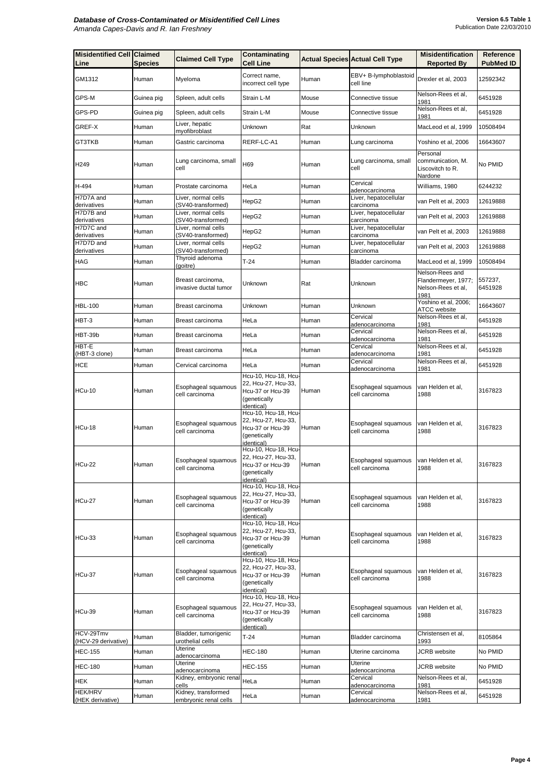| <b>Misidentified Cell Claimed</b><br>Line | <b>Species</b> | <b>Claimed Cell Type</b>                     | <b>Contaminating</b><br><b>Cell Line</b>                                                              |       | <b>Actual Species Actual Cell Type</b> | <b>Misidentification</b><br><b>Reported By</b>                       | <b>Reference</b><br><b>PubMed ID</b> |
|-------------------------------------------|----------------|----------------------------------------------|-------------------------------------------------------------------------------------------------------|-------|----------------------------------------|----------------------------------------------------------------------|--------------------------------------|
| GM1312                                    | Human          | Myeloma                                      | Correct name,<br>incorrect cell type                                                                  | Human | EBV+ B-lymphoblastoid<br>cell line     | Drexler et al, 2003                                                  | 12592342                             |
| GPS-M                                     | Guinea pig     | Spleen, adult cells                          | Strain L-M                                                                                            | Mouse | Connective tissue                      | Nelson-Rees et al,<br>1981                                           | 6451928                              |
| GPS-PD                                    | Guinea pig     | Spleen, adult cells                          | Strain L-M                                                                                            | Mouse | Connective tissue                      | Nelson-Rees et al,<br>1981                                           | 6451928                              |
| GREF-X                                    | Human          | Liver, hepatic<br>myofibroblast              | Unknown                                                                                               | Rat   | Unknown                                | MacLeod et al, 1999                                                  | 10508494                             |
| GT3TKB                                    | Human          | Gastric carcinoma                            | RERF-LC-A1                                                                                            | Human | Lung carcinoma                         | Yoshino et al, 2006                                                  | 16643607                             |
| H249                                      | Human          | Lung carcinoma, small<br>cell                | H69                                                                                                   | Human | Lung carcinoma, small<br>cell          | Personal<br>communication, M.<br>Liscovitch to R.<br>Nardone         | No PMID                              |
| H-494                                     | Human          | Prostate carcinoma                           | HeLa                                                                                                  | Human | Cervical<br>adenocarcinoma             | Williams, 1980                                                       | 6244232                              |
| H7D7A and<br>derivatives                  | Human          | Liver, normal cells<br>(SV40-transformed)    | HepG2                                                                                                 | Human | Liver, hepatocellular<br>carcinoma     | van Pelt et al, 2003                                                 | 12619888                             |
| H7D7B and<br>derivatives                  | Human          | Liver, normal cells<br>(SV40-transformed)    | HepG2                                                                                                 | Human | Liver, hepatocellular<br>carcinoma     | van Pelt et al, 2003                                                 | 12619888                             |
| H7D7C and<br>derivatives                  | Human          | Liver, normal cells<br>(SV40-transformed)    | HepG2                                                                                                 | Human | Liver, hepatocellular<br>carcinoma     | van Pelt et al, 2003                                                 | 12619888                             |
| H7D7D and<br>derivatives                  | Human          | Liver, normal cells<br>(SV40-transformed)    | HepG2                                                                                                 | Human | Liver, hepatocellular<br>carcinoma     | van Pelt et al, 2003                                                 | 12619888                             |
| <b>HAG</b>                                | Human          | Thyroid adenoma<br>(goitre)                  | $T-24$                                                                                                | Human | Bladder carcinoma                      | MacLeod et al, 1999                                                  | 10508494                             |
| <b>HBC</b>                                | Human          | Breast carcinoma,<br>invasive ductal tumor   | Unknown                                                                                               | Rat   | Unknown                                | Nelson-Rees and<br>Flandermeyer, 1977;<br>Nelson-Rees et al,<br>1981 | 557237,<br>6451928                   |
| <b>HBL-100</b>                            | Human          | Breast carcinoma                             | Unknown                                                                                               | Human | Unknown                                | Yoshino et al, 2006;<br><b>ATCC</b> website                          | 16643607                             |
| HBT-3                                     | Human          | Breast carcinoma                             | HeLa                                                                                                  | Human | Cervical<br>adenocarcinoma             | Nelson-Rees et al,<br>1981                                           | 6451928                              |
| HBT-39b                                   | Human          | Breast carcinoma                             | HeLa                                                                                                  | Human | Cervical<br>adenocarcinoma             | Nelson-Rees et al,<br>1981                                           | 6451928                              |
| HBT-E<br>(HBT-3 clone)                    | Human          | Breast carcinoma                             | HeLa                                                                                                  | Human | Cervical<br>adenocarcinoma             | Nelson-Rees et al,<br>1981                                           | 6451928                              |
| <b>HCE</b>                                | Human          | Cervical carcinoma                           | HeLa                                                                                                  | Human | Cervical<br>adenocarcinoma             | Nelson-Rees et al,<br>1981                                           | 6451928                              |
| HCu-10                                    | Human          | Esophageal squamous<br>cell carcinoma        | Hcu-10, Hcu-18, Hcu-<br>22, Hcu-27, Hcu-33,<br>Hcu-37 or Hcu-39<br>(genetically<br>identical)         | Human | Esophageal squamous<br>cell carcinoma  | van Helden et al,<br>1988                                            | 3167823                              |
| HCu-18                                    | Human          | Esophageal squamous<br>cell carcinoma        | Hcu-10, Hcu-18, Hcu-<br>22, Hcu-27, Hcu-33,<br>Hcu-37 or Hcu-39<br>(genetically<br>identical)         | Human | Esophageal squamous<br>cell carcinoma  | van Helden et al,<br>1988                                            | 3167823                              |
| HCu-22                                    | Human          | Esophageal squamous<br>cell carcinoma        | Hcu-10, Hcu-18, Hcu-<br>22, Hcu-27, Hcu-33,<br>Hcu-37 or Hcu-39<br>(genetically<br>identical)         | Human | Esophageal squamous<br>cell carcinoma  | van Helden et al,<br>1988                                            | 3167823                              |
| HCu-27                                    | Human          | Esophageal squamous<br>cell carcinoma        | Hcu-10, Hcu-18, Hcu-<br>22, Hcu-27, Hcu-33,<br>Hcu-37 or Hcu-39<br>(genetically<br>identical)         | Human | Esophageal squamous<br>cell carcinoma  | van Helden et al,<br>1988                                            | 3167823                              |
| <b>HCu-33</b>                             | Human          | Esophageal squamous<br>cell carcinoma        | Hcu-10, Hcu-18, Hcu-<br>22, Hcu-27, Hcu-33,<br>Hcu-37 or Hcu-39<br>(genetically<br>identical)         | Human | Esophageal squamous<br>cell carcinoma  | van Helden et al,<br>1988                                            | 3167823                              |
| HCu-37                                    | Human          | Esophageal squamous<br>cell carcinoma        | Hcu-10, Hcu-18, Hcu-<br>22, Hcu-27, Hcu-33,<br>Hcu-37 or Hcu-39<br>(genetically<br><i>identical</i> ) | Human | Esophageal squamous<br>cell carcinoma  | van Helden et al,<br>1988                                            | 3167823                              |
| HCu-39                                    | Human          | Esophageal squamous<br>cell carcinoma        | Hcu-10, Hcu-18, Hcu-<br>22, Hcu-27, Hcu-33,<br>Hcu-37 or Hcu-39<br>(genetically<br>identical)         | Human | Esophageal squamous<br>cell carcinoma  | van Helden et al,<br>1988                                            | 3167823                              |
| HCV-29Tmv<br>(HCV-29 derivative)          | Human          | Bladder, tumorigenic<br>urothelial cells     | $T-24$                                                                                                | Human | Bladder carcinoma                      | Christensen et al,<br>1993                                           | 8105864                              |
| <b>HEC-155</b>                            | Human          | Uterine<br>adenocarcinoma                    | <b>HEC-180</b>                                                                                        | Human | Uterine carcinoma                      | <b>JCRB</b> website                                                  | No PMID                              |
| <b>HEC-180</b>                            | Human          | <b>Uterine</b><br>adenocarcinoma             | <b>HEC-155</b>                                                                                        | Human | Uterine<br>adenocarcinoma              | <b>JCRB</b> website                                                  | No PMID                              |
| <b>HEK</b>                                | Human          | Kidney, embryonic renal<br>cells             | HeLa                                                                                                  | Human | Cervical<br>adenocarcinoma             | Nelson-Rees et al,<br>1981                                           | 6451928                              |
| <b>HEK/HRV</b><br>(HEK derivative)        | Human          | Kidney, transformed<br>embryonic renal cells | HeLa                                                                                                  | Human | Cervical<br>adenocarcinoma             | Nelson-Rees et al,<br>1981                                           | 6451928                              |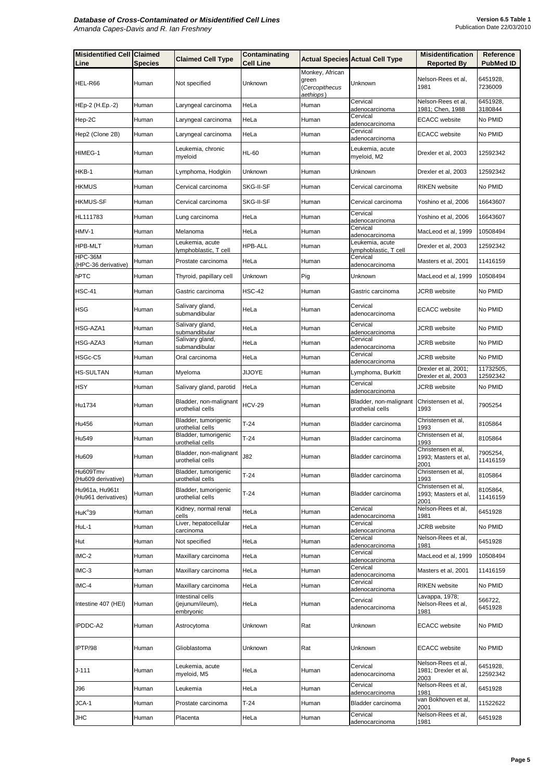| <b>Misidentified Cell Claimed</b><br>Line | <b>Species</b> | <b>Claimed Cell Type</b>                          | <b>Contaminating</b><br><b>Cell Line</b> |                                                         | <b>Actual Species Actual Cell Type</b>     | <b>Misidentification</b><br><b>Reported By</b>     | <b>Reference</b><br><b>PubMed ID</b> |
|-------------------------------------------|----------------|---------------------------------------------------|------------------------------------------|---------------------------------------------------------|--------------------------------------------|----------------------------------------------------|--------------------------------------|
| HEL-R66                                   | Human          | Not specified                                     | Unknown                                  | Monkey, African<br>green<br>(Cercopithecus<br>aethiops) | Unknown                                    | Nelson-Rees et al,<br>1981                         | 6451928.<br>7236009                  |
| HEp-2 (H.Ep.-2)                           | Human          | Laryngeal carcinoma                               | HeLa                                     | Human                                                   | Cervical<br>adenocarcinoma                 | Nelson-Rees et al,<br>1981; Chen, 1988             | 6451928,<br>3180844                  |
| Hep-2C                                    | Human          | Laryngeal carcinoma                               | HeLa                                     | Human                                                   | Cervical<br>adenocarcinoma                 | <b>ECACC</b> website                               | No PMID                              |
| Hep2 (Clone 2B)                           | Human          | Laryngeal carcinoma                               | HeLa                                     | Human                                                   | Cervical<br>adenocarcinoma                 | <b>ECACC</b> website                               | No PMID                              |
| HIMEG-1                                   | Human          | Leukemia, chronic<br>myeloid                      | <b>HL-60</b>                             | Human                                                   | Leukemia, acute<br>myeloid, M2             | Drexler et al, 2003                                | 12592342                             |
| HKB-1                                     | Human          | Lymphoma, Hodgkin                                 | Unknown                                  | Human                                                   | Unknown                                    | Drexler et al, 2003                                | 12592342                             |
| <b>HKMUS</b>                              | Human          | Cervical carcinoma                                | <b>SKG-II-SF</b>                         | Human                                                   | Cervical carcinoma                         | <b>RIKEN</b> website                               | No PMID                              |
| <b>HKMUS-SF</b>                           | Human          | Cervical carcinoma                                | <b>SKG-II-SF</b>                         | Human                                                   | Cervical carcinoma                         | Yoshino et al, 2006                                | 16643607                             |
| HL111783                                  | Human          | Lung carcinoma                                    | HeLa                                     | Human                                                   | Cervical<br>adenocarcinoma                 | Yoshino et al, 2006                                | 16643607                             |
| HMV-1                                     | Human          | Melanoma                                          | HeLa                                     | Human                                                   | Cervical<br>adenocarcinoma                 | MacLeod et al, 1999                                | 10508494                             |
| <b>HPB-MLT</b>                            | Human          | Leukemia, acute<br>lymphoblastic, T cell          | <b>HPB-ALL</b>                           | Human                                                   | Leukemia, acute<br>lymphoblastic, T cell   | Drexler et al, 2003                                | 12592342                             |
| HPC-36M<br>(HPC-36 derivative)            | Human          | Prostate carcinoma                                | HeLa                                     | Human                                                   | Cervical<br>adenocarcinoma                 | Masters et al, 2001                                | 11416159                             |
| hPTC                                      | Human          | Thyroid, papillary cell                           | Unknown                                  | Pig                                                     | Unknown                                    | MacLeod et al, 1999                                | 10508494                             |
| HSC-41                                    | Human          | Gastric carcinoma                                 | <b>HSC-42</b>                            | Human                                                   | Gastric carcinoma                          | <b>JCRB</b> website                                | No PMID                              |
| <b>HSG</b>                                | Human          | Salivary gland,<br>submandibular                  | HeLa                                     | Human                                                   | Cervical<br>ladenocarcinoma                | <b>ECACC</b> website                               | No PMID                              |
| HSG-AZA1                                  | Human          | Salivary gland,<br>submandibular                  | HeLa                                     | Human                                                   | Cervical<br>adenocarcinoma                 | <b>JCRB</b> website                                | No PMID                              |
| HSG-AZA3                                  | Human          | Salivary gland,<br>submandibular                  | HeLa                                     | Human                                                   | Cervical<br>adenocarcinoma                 | <b>JCRB</b> website                                | No PMID                              |
| HSGc-C5                                   | Human          | Oral carcinoma                                    | HeLa                                     | Human                                                   | Cervical<br>adenocarcinoma                 | <b>JCRB</b> website                                | No PMID                              |
| <b>HS-SULTAN</b>                          | Human          | Myeloma                                           | <b>JIJOYE</b>                            | Human                                                   | Lymphoma, Burkitt                          | Drexler et al, 2001;<br>Drexler et al, 2003        | 11732505,<br>12592342                |
| <b>HSY</b>                                | Human          | Salivary gland, parotid                           | HeLa                                     | Human                                                   | Cervical<br>adenocarcinoma                 | <b>JCRB</b> website                                | No PMID                              |
| Hu1734                                    | Human          | Bladder, non-malignant<br>urothelial cells        | <b>HCV-29</b>                            | Human                                                   | Bladder, non-malignant<br>urothelial cells | Christensen et al,<br>1993                         | 7905254                              |
| Hu456                                     | Human          | Bladder, tumorigenic<br>urothelial cells          | $T-24$                                   | Human                                                   | Bladder carcinoma                          | Christensen et al,<br>1993                         | 8105864                              |
| Hu549                                     | Human          | Bladder, tumorigenic<br>urothelial cells          | $T-24$                                   | Human                                                   | Bladder carcinoma                          | Christensen et al,<br>1993                         | 8105864                              |
| Hu609                                     | Human          | Bladder, non-malignant<br>urothelial cells        | J82                                      | Human                                                   | Bladder carcinoma                          | Christensen et al,<br>1993; Masters et al,<br>2001 | 7905254,<br>11416159                 |
| Hu609Tmv<br>(Hu609 derivative)            | Human          | Bladder, tumorigenic<br>urothelial cells          | $T-24$                                   | Human                                                   | Bladder carcinoma                          | Christensen et al,<br>1993                         | 8105864                              |
| Hu961a, Hu961t<br>(Hu961 derivatives)     | Human          | Bladder, tumorigenic<br>urothelial cells          | $T-24$                                   | Human                                                   | Bladder carcinoma                          | Christensen et al,<br>1993; Masters et al,<br>2001 | 8105864,<br>11416159                 |
| HuK <sup>°</sup> 39                       | Human          | Kidney, normal renal<br>cells                     | HeLa                                     | Human                                                   | Cervical<br>adenocarcinoma                 | Nelson-Rees et al,<br>1981                         | 6451928                              |
| HuL-1                                     | Human          | Liver, hepatocellular<br>carcinoma                | HeLa                                     | Human                                                   | Cervical<br>adenocarcinoma                 | <b>JCRB</b> website                                | No PMID                              |
| Hut                                       | Human          | Not specified                                     | HeLa                                     | Human                                                   | Cervical<br>adenocarcinoma                 | Nelson-Rees et al,<br>1981                         | 6451928                              |
| IMC-2                                     | Human          | Maxillary carcinoma                               | HeLa                                     | Human                                                   | Cervical<br>adenocarcinoma                 | MacLeod et al, 1999                                | 10508494                             |
| IMC-3                                     | Human          | Maxillary carcinoma                               | HeLa                                     | Human                                                   | Cervical<br>adenocarcinoma                 | Masters et al, 2001                                | 11416159                             |
| IMC-4                                     | Human          | Maxillary carcinoma                               | HeLa                                     | Human                                                   | Cervical<br>adenocarcinoma                 | <b>RIKEN</b> website                               | No PMID                              |
| Intestine 407 (HEI)                       | Human          | Intestinal cells<br>(jejunum/ileum),<br>embryonic | HeLa                                     | Human                                                   | Cervical<br>adenocarcinoma                 | Lavappa, 1978;<br>Nelson-Rees et al,<br>1981       | 566722,<br>6451928                   |
| IPDDC-A2                                  | Human          | Astrocytoma                                       | Unknown                                  | Rat                                                     | Unknown                                    | <b>ECACC</b> website                               | No PMID                              |
| IPTP/98                                   | Human          | Glioblastoma                                      | Unknown                                  | Rat                                                     | Unknown                                    | <b>ECACC</b> website                               | No PMID                              |
| $J-111$                                   | Human          | Leukemia, acute<br>myeloid, M5                    | HeLa                                     | Human                                                   | Cervical<br>adenocarcinoma                 | Nelson-Rees et al,<br>1981; Drexler et al,<br>2003 | 6451928,<br>12592342                 |
| <b>J96</b>                                | Human          | Leukemia                                          | HeLa                                     | Human                                                   | Cervical<br>adenocarcinoma                 | Nelson-Rees et al,<br>1981                         | 6451928                              |
| JCA-1                                     | Human          | Prostate carcinoma                                | $T-24$                                   | Human                                                   | Bladder carcinoma                          | van Bokhoven et al,<br>2001                        | 11522622                             |
| <b>JHC</b>                                | Human          | Placenta                                          | HeLa                                     | Human                                                   | Cervical<br>adenocarcinoma                 | Nelson-Rees et al,<br>1981                         | 6451928                              |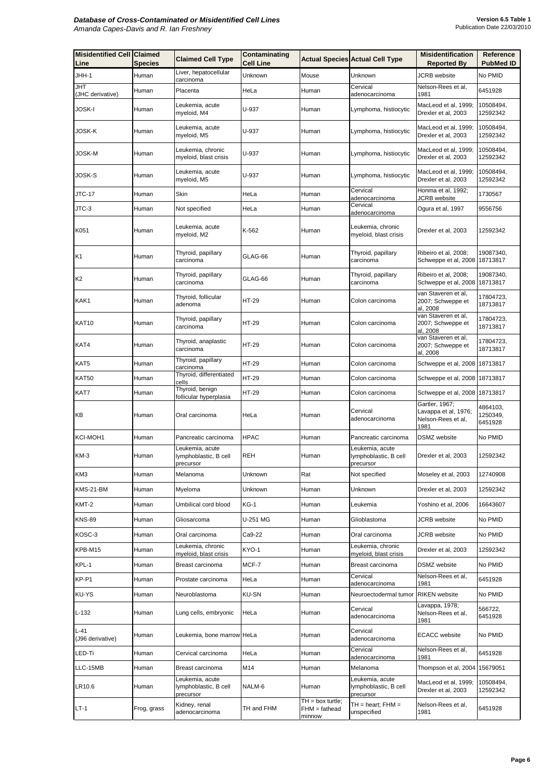| <b>Misidentified Cell Claimed</b><br>Line | <b>Species</b> | <b>Claimed Cell Type</b>                              | Contaminating<br><b>Cell Line</b> |                                                 | <b>Actual Species Actual Cell Type</b>                | <b>Misidentification</b><br><b>Reported By</b>                       | <b>Reference</b><br><b>PubMed ID</b> |
|-------------------------------------------|----------------|-------------------------------------------------------|-----------------------------------|-------------------------------------------------|-------------------------------------------------------|----------------------------------------------------------------------|--------------------------------------|
| JHH-1                                     | Human          | Liver, hepatocellular<br>carcinoma                    | Unknown                           | Mouse                                           | Unknown                                               | <b>JCRB</b> website                                                  | No PMID                              |
| <b>JHT</b><br>(JHC derivative)            | Human          | Placenta                                              | HeLa                              | Human                                           | Cervical<br>adenocarcinoma                            | Nelson-Rees et al,<br>1981                                           | 6451928                              |
| <b>JOSK-I</b>                             | Human          | Leukemia, acute<br>myeloid, M4                        | U-937                             | Human                                           | Lymphoma, histiocytic                                 | MacLeod et al, 1999;<br>Drexler et al, 2003                          | 10508494,<br>12592342                |
| <b>JOSK-K</b>                             | Human          | Leukemia, acute<br>myeloid, M5                        | U-937                             | Human                                           | Lymphoma, histiocytic                                 | MacLeod et al, 1999;<br>Drexler et al, 2003                          | 10508494,<br>12592342                |
| <b>JOSK-M</b>                             | Human          | Leukemia, chronic<br>myeloid, blast crisis            | U-937                             | Human                                           | Lymphoma, histiocytic                                 | MacLeod et al, 1999;<br>Drexler et al, 2003                          | 10508494,<br>12592342                |
| <b>JOSK-S</b>                             | Human          | Leukemia, acute<br>myeloid, M5                        | U-937                             | Human                                           | Lymphoma, histiocytic                                 | MacLeod et al, 1999;<br>Drexler et al, 2003                          | 10508494,<br>12592342                |
| <b>JTC-17</b>                             | Human          | Skin                                                  | HeLa                              | Human                                           | Cervical<br>adenocarcinoma                            | Honma et al, 1992;<br><b>JCRB</b> website                            | 1730567                              |
| JTC-3                                     | Human          | Not specified                                         | HeLa                              | Human                                           | Cervical<br>adenocarcinoma                            | Ogura et al, 1997                                                    | 9556756                              |
| K051                                      | Human          | Leukemia, acute<br>myeloid, M2                        | K-562                             | Human                                           | Leukemia, chronic<br>myeloid, blast crisis            | Drexler et al, 2003                                                  | 12592342                             |
| K <sub>1</sub>                            | Human          | Thyroid, papillary<br>carcinoma                       | GLAG-66                           | Human                                           | Thyroid, papillary<br>carcinoma                       | Ribeiro et al, 2008;<br>Schweppe et al, 2008   18713817              | 19087340,                            |
| K <sub>2</sub>                            | Human          | Thyroid, papillary<br>carcinoma                       | GLAG-66                           | Human                                           | Thyroid, papillary<br>carcinoma                       | Ribeiro et al, 2008;<br>Schweppe et al, 2008   18713817              | 19087340,                            |
| KAK1                                      | Human          | Thyroid, follicular<br>adenoma                        | <b>HT-29</b>                      | Human                                           | Colon carcinoma                                       | van Staveren et al,<br>2007; Schweppe et<br>al, 2008                 | 17804723,<br>18713817                |
| KAT10                                     | Human          | Thyroid, papillary<br>carcinoma                       | <b>HT-29</b>                      | Human                                           | Colon carcinoma                                       | van Staveren et al,<br>2007; Schweppe et<br>al, 2008                 | 17804723,<br>18713817                |
| KAT4                                      | Human          | Thyroid, anaplastic<br>carcinoma                      | <b>HT-29</b>                      | Human                                           | Colon carcinoma                                       | van Staveren et al,<br>2007; Schweppe et<br>al, 2008                 | 17804723,<br>18713817                |
| KAT5                                      | Human          | Thyroid, papillary<br>carcinoma                       | HT-29                             | Human                                           | Colon carcinoma                                       | Schweppe et al, 2008 18713817                                        |                                      |
| <b>KAT50</b>                              | Human          | Thyroid, differentiated<br>cells                      | HT-29                             | Human                                           | Colon carcinoma                                       | Schweppe et al, 2008 18713817                                        |                                      |
| KAT7                                      | Human          | Thyroid, benign<br>follicular hyperplasia             | HT-29                             | Human                                           | Colon carcinoma                                       | Schweppe et al, 2008 18713817                                        |                                      |
| KB                                        | Human          | Oral carcinoma                                        | HeLa                              | Human                                           | Cervical<br>adenocarcinoma                            | Gartler, 1967;<br>Lavappa et al, 1976;<br>Nelson-Rees et al,<br>1981 | 4864103,<br>1250349,<br>6451928      |
| <b>KCI-MOH1</b>                           | Human          | Pancreatic carcinoma                                  | <b>HPAC</b>                       | Human                                           | Pancreatic carcinoma                                  | <b>DSMZ</b> website                                                  | No PMID                              |
| <b>KM-3</b>                               | Human          | Leukemia, acute<br>lymphoblastic, B cell<br>precursor | <b>REH</b>                        | Human                                           | Leukemia, acute<br>lymphoblastic, B cell<br>precursor | Drexler et al, 2003                                                  | 12592342                             |
| KM3                                       | Human          | Melanoma                                              | Unknown                           | Rat                                             | Not specified                                         | Moseley et al, 2003                                                  | 12740908                             |
| KMS-21-BM                                 | Human          | Myeloma                                               | Unknown                           | Human                                           | Unknown                                               | Drexler et al, 2003                                                  | 12592342                             |
| KMT-2                                     | Human          | Umbilical cord blood                                  | $KG-1$                            | Human                                           | Leukemia                                              | Yoshino et al, 2006                                                  | 16643607                             |
| <b>KNS-89</b>                             | Human          | Gliosarcoma                                           | U-251 MG                          | Human                                           | Glioblastoma                                          | <b>JCRB</b> website                                                  | No PMID                              |
| KOSC-3                                    | Human          | Oral carcinoma                                        | Ca9-22                            | Human                                           | Oral carcinoma                                        | <b>JCRB</b> website                                                  | No PMID                              |
| KPB-M15                                   | Human          | Leukemia, chronic<br>myeloid, blast crisis            | KYO-1                             | Human                                           | Leukemia, chronic<br>myeloid, blast crisis            | Drexler et al, 2003                                                  | 12592342                             |
| KPL-1                                     | Human          | Breast carcinoma                                      | MCF-7                             | Human                                           | Breast carcinoma                                      | <b>DSMZ</b> website                                                  | No PMID                              |
| KP-P1                                     | Human          | Prostate carcinoma                                    | HeLa                              | Human                                           | Cervical<br>adenocarcinoma                            | Nelson-Rees et al,<br>1981                                           | 6451928                              |
| <b>KU-YS</b>                              | Human          | Neuroblastoma                                         | <b>KU-SN</b>                      | Human                                           | Neuroectodermal tumor RIKEN website                   |                                                                      | No PMID                              |
| $L-132$                                   | Human          | Lung cells, embryonic                                 | HeLa                              | Human                                           | Cervical<br>adenocarcinoma                            | Lavappa, 1978;<br>Nelson-Rees et al,<br>1981                         | 566722,<br>6451928                   |
| $L-41$<br>(J96 derivative)                | Human          | Leukemia, bone marrow HeLa                            |                                   | Human                                           | Cervical<br>adenocarcinoma                            | <b>ECACC</b> website                                                 | No PMID                              |
| LED-Ti                                    | Human          | Cervical carcinoma                                    | HeLa                              | Human                                           | Cervical<br>adenocarcinoma                            | Nelson-Rees et al,<br>1981                                           | 6451928                              |
| LLC-15MB                                  | Human          | Breast carcinoma                                      | M14                               | Human                                           | Melanoma                                              | Thompson et al, 2004 15679051                                        |                                      |
| LR10.6                                    | Human          | Leukemia, acute<br>lymphoblastic, B cell<br>precursor | NALM-6                            | Human                                           | Leukemia, acute<br>lymphoblastic, B cell<br>precursor | MacLeod et al, 1999;<br>Drexler et al, 2003                          | 10508494,<br>12592342                |
| $LT-1$                                    | Frog, grass    | Kidney, renal<br>adenocarcinoma                       | TH and FHM                        | $TH = box$ turtle;<br>$FHM = fathead$<br>minnow | $TH = heart$ ; $FHM =$<br>unspecified                 | Nelson-Rees et al,<br>1981                                           | 6451928                              |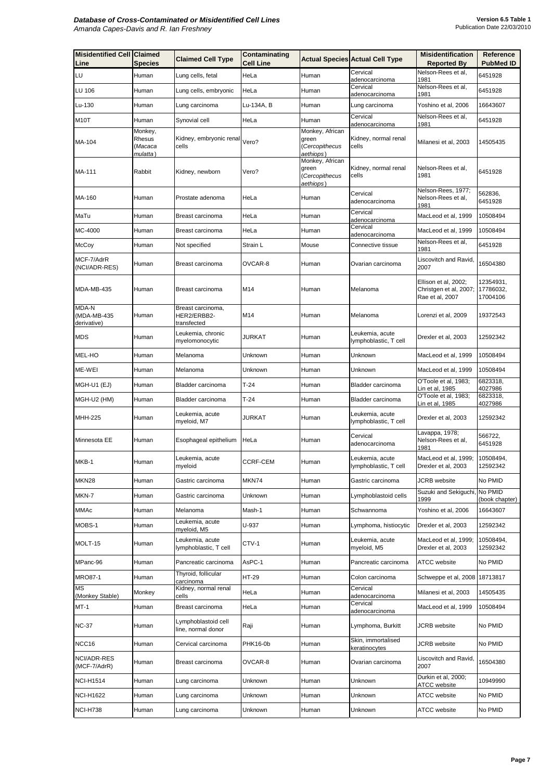| <b>Misidentified Cell Claimed</b><br>Line  | <b>Species</b>                | <b>Claimed Cell Type</b>                        | <b>Contaminating</b><br><b>Cell Line</b> |                                                         | <b>Actual Species Actual Cell Type</b>   | <b>Misidentification</b><br><b>Reported By</b>                    | <b>Reference</b><br><b>PubMed ID</b> |
|--------------------------------------------|-------------------------------|-------------------------------------------------|------------------------------------------|---------------------------------------------------------|------------------------------------------|-------------------------------------------------------------------|--------------------------------------|
| LU                                         | Human                         | Lung cells, fetal                               | HeLa                                     | Human                                                   | Cervical                                 | Nelson-Rees et al,                                                | 6451928                              |
| <b>LU 106</b>                              | Human                         | Lung cells, embryonic                           | HeLa                                     | Human                                                   | adenocarcinoma<br>Cervical               | 1981<br>Nelson-Rees et al,                                        | 6451928                              |
| Lu-130                                     | Human                         |                                                 | Lu-134A, B                               | Human                                                   | adenocarcinoma                           | 1981<br>Yoshino et al, 2006                                       | 16643607                             |
|                                            |                               | Lung carcinoma                                  |                                          |                                                         | Lung carcinoma<br>Cervical               | Nelson-Rees et al,                                                |                                      |
| <b>M10T</b>                                | Human<br>Monkey,              | Synovial cell                                   | HeLa                                     | Human<br>Monkey, African                                | adenocarcinoma                           | 1981                                                              | 6451928                              |
| MA-104                                     | Rhesus<br>(Macaca<br>mulatta) | Kidney, embryonic renal Vero?<br>cells          |                                          | green<br>(Cercopithecus<br>aethiops)                    | Kidney, normal renal<br>cells            | Milanesi et al, 2003                                              | 14505435                             |
| MA-111                                     | Rabbit                        | Kidney, newborn                                 | Vero?                                    | Monkey, African<br>green<br>(Cercopithecus<br>aethiops) | Kidney, normal renal<br>cells            | Nelson-Rees et al,<br>1981                                        | 6451928                              |
| MA-160                                     | Human                         | Prostate adenoma                                | HeLa                                     | Human                                                   | Cervical<br>adenocarcinoma               | Nelson-Rees, 1977;<br>Nelson-Rees et al,<br>1981                  | 562836,<br>6451928                   |
| MaTu                                       | Human                         | Breast carcinoma                                | HeLa                                     | Human                                                   | Cervical<br>adenocarcinoma               | MacLeod et al, 1999                                               | 10508494                             |
| MC-4000                                    | Human                         | Breast carcinoma                                | HeLa                                     | Human                                                   | Cervical<br>adenocarcinoma               | MacLeod et al, 1999                                               | 10508494                             |
| <b>McCoy</b>                               | Human                         | Not specified                                   | <b>Strain L</b>                          | Mouse                                                   | Connective tissue                        | Nelson-Rees et al,<br>1981                                        | 6451928                              |
| MCF-7/AdrR<br>(NCI/ADR-RES)                | Human                         | Breast carcinoma                                | OVCAR-8                                  | Human                                                   | Ovarian carcinoma                        | Liscovitch and Ravid,<br>2007                                     | 16504380                             |
| MDA-MB-435                                 | Human                         | Breast carcinoma                                | M14                                      | <b>I</b> Human                                          | Melanoma                                 | Ellison et al, 2002;<br>Christgen et al, 2007;<br>Rae et al, 2007 | 12354931,<br>17786032,<br>17004106   |
| <b>MDA-N</b><br>(MDA-MB-435<br>derivative) | Human                         | Breast carcinoma,<br>HER2/ERBB2-<br>transfected | M14                                      | Human                                                   | Melanoma                                 | Lorenzi et al, 2009                                               | 19372543                             |
| <b>MDS</b>                                 | Human                         | Leukemia, chronic<br>myelomonocytic             | <b>JURKAT</b>                            | <b>I</b> Human                                          | Leukemia, acute<br>lymphoblastic, T cell | Drexler et al, 2003                                               | 12592342                             |
| MEL-HO                                     | Human                         | Melanoma                                        | Unknown                                  | Human                                                   | Unknown                                  | MacLeod et al, 1999                                               | 10508494                             |
| ME-WEI                                     | Human                         | Melanoma                                        | Unknown                                  | Human                                                   | Unknown                                  | MacLeod et al, 1999                                               | 10508494                             |
| MGH-U1 (EJ)                                | Human                         | Bladder carcinoma                               | $T-24$                                   | Human                                                   | Bladder carcinoma                        | O'Toole et al, 1983;<br>Lin et al, 1985                           | 6823318,<br>4027986                  |
| MGH-U2 (HM)                                | <b>Human</b>                  | Bladder carcinoma                               | $T-24$                                   | <b>I</b> Human                                          | Bladder carcinoma                        | O'Toole et al, 1983;<br>Lin et al, 1985                           | 6823318,<br>4027986                  |
| <b>MHH-225</b>                             | Human                         | Leukemia, acute<br>myeloid, M7                  | JURKAT                                   | Human                                                   | Leukemia, acute<br>lymphoblastic, T cell | Drexler et al, 2003                                               | 12592342                             |
| Minnesota EE                               | Human                         | Esophageal epithelium                           | HeLa                                     | Human                                                   | Cervical<br>adenocarcinoma               | Lavappa, 1978;<br>Nelson-Rees et al,<br>1981                      | 566722,<br>6451928                   |
| MKB-1                                      | Human                         | Leukemia, acute<br>myeloid                      | <b>CCRF-CEM</b>                          | Human                                                   | Leukemia, acute<br>lymphoblastic, T cell | MacLeod et al, 1999;<br>Drexler et al, 2003                       | 10508494,<br>12592342                |
| MKN <sub>28</sub>                          | Human                         | Gastric carcinoma                               | MKN74                                    | Human                                                   | Gastric carcinoma                        | <b>JCRB</b> website                                               | No PMID                              |
| MKN-7                                      | Human                         | Gastric carcinoma                               | Unknown                                  | Human                                                   | Lymphoblastoid cells                     | Suzuki and Sekiguchi,<br>1999                                     | No PMID<br>(book chapter)            |
| <b>MMAc</b>                                | Human                         | <b>I</b> Melanoma                               | Mash-1                                   | Human                                                   | Schwannoma                               | Yoshino et al, 2006                                               | 16643607                             |
| MOBS-1                                     | Human                         | Leukemia, acute<br>myeloid, M5                  | U-937                                    | Human                                                   | Lymphoma, histiocytic                    | Drexler et al, 2003                                               | 12592342                             |
| MOLT-15                                    | Human                         | Leukemia, acute<br>lymphoblastic, T cell        | CTV-1                                    | Human                                                   | Leukemia, acute<br>myeloid, M5           | MacLeod et al, 1999;<br>Drexler et al, 2003                       | 10508494,<br>12592342                |
| MPanc-96                                   | Human                         | Pancreatic carcinoma                            | AsPC-1                                   | Human                                                   | Pancreatic carcinoma                     | <b>ATCC</b> website                                               | No PMID                              |
| <b>MRO87-1</b>                             | Human                         | Thyroid, follicular<br>carcinoma                | HT-29                                    | Human                                                   | Colon carcinoma                          | Schweppe et al, 2008   18713817                                   |                                      |
| <b>MS</b><br>(Monkey Stable)               | Monkey                        | Kidney, normal renal<br>cells                   | HeLa                                     | Human                                                   | Cervical<br>adenocarcinoma               | Milanesi et al, 2003                                              | 14505435                             |
| $MT-1$                                     | Human                         | Breast carcinoma                                | HeLa                                     | Human                                                   | Cervical<br>adenocarcinoma               | MacLeod et al, 1999                                               | 10508494                             |
| <b>NC-37</b>                               | Human                         | Lymphoblastoid cell<br>line, normal donor       | Raji                                     | Human                                                   | Lymphoma, Burkitt                        | <b>JCRB</b> website                                               | No PMID                              |
| NCC16                                      | Human                         | Cervical carcinoma                              | PHK16-0b                                 | Human                                                   | Skin, immortalised<br>keratinocytes      | <b>JCRB</b> website                                               | No PMID                              |
| NCI/ADR-RES<br>(MCF-7/AdrR)                | Human                         | Breast carcinoma                                | OVCAR-8                                  | Human                                                   | Ovarian carcinoma                        | Liscovitch and Ravid,<br>2007                                     | 16504380                             |
| <b>NCI-H1514</b>                           | Human                         | Lung carcinoma                                  | Unknown                                  | Human                                                   | Unknown                                  | Durkin et al, 2000;<br><b>ATCC</b> website                        | 10949990                             |
| <b>NCI-H1622</b>                           | Human                         | Lung carcinoma                                  | Unknown                                  | Human                                                   | Unknown                                  | <b>ATCC</b> website                                               | No PMID                              |
| <b>NCI-H738</b>                            | Human                         | Lung carcinoma                                  | Unknown                                  | Human                                                   | Unknown                                  | <b>ATCC</b> website                                               | No PMID                              |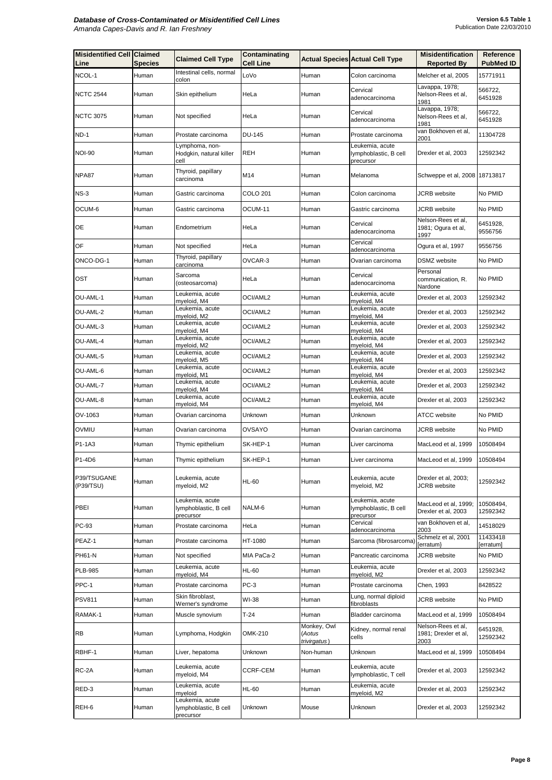| <b>Misidentified Cell Claimed</b><br>Line | <b>Species</b> | <b>Claimed Cell Type</b>                              | Contaminating<br><b>Cell Line</b> |                                       | <b>Actual Species Actual Cell Type</b>                | <b>Misidentification</b><br><b>Reported By</b>     | <b>Reference</b><br><b>PubMed ID</b> |
|-------------------------------------------|----------------|-------------------------------------------------------|-----------------------------------|---------------------------------------|-------------------------------------------------------|----------------------------------------------------|--------------------------------------|
| NCOL-1                                    | Human          | Intestinal cells, normal<br>colon                     | LoVo                              | Human                                 | Colon carcinoma                                       | Melcher et al, 2005                                | 15771911                             |
| <b>NCTC 2544</b>                          | Human          | Skin epithelium                                       | HeLa                              | Human                                 | Cervical<br>adenocarcinoma                            | Lavappa, 1978;<br>Nelson-Rees et al,<br>1981       | 566722,<br>6451928                   |
| <b>NCTC 3075</b>                          | Human          | Not specified                                         | HeLa                              | Human                                 | Cervical<br>adenocarcinoma                            | Lavappa, 1978;<br>Nelson-Rees et al,<br>1981       | 566722,<br>6451928                   |
| $ND-1$                                    | Human          | Prostate carcinoma                                    | <b>DU-145</b>                     | Human                                 | Prostate carcinoma                                    | van Bokhoven et al,<br>2001                        | 11304728                             |
| <b>NOI-90</b>                             | Human          | Lymphoma, non-<br>Hodgkin, natural killer<br>cell     | <b>REH</b>                        | Human                                 | Leukemia, acute<br>lymphoblastic, B cell<br>precursor | Drexler et al, 2003                                | 12592342                             |
| NPA87                                     | Human          | Thyroid, papillary<br>carcinoma                       | M14                               | Human                                 | Melanoma                                              | Schweppe et al, 2008 18713817                      |                                      |
| $NS-3$                                    | Human          | Gastric carcinoma                                     | <b>COLO 201</b>                   | Human                                 | Colon carcinoma                                       | JCRB website                                       | No PMID                              |
| OCUM-6                                    | Human          | Gastric carcinoma                                     | OCUM-11                           | Human                                 | Gastric carcinoma                                     | <b>JCRB</b> website                                | No PMID                              |
| <b>OE</b>                                 | Human          | Endometrium                                           | HeLa                              | Human                                 | Cervical<br>adenocarcinoma                            | Nelson-Rees et al,<br>1981; Ogura et al,<br>1997   | 6451928,<br>9556756                  |
| OF                                        | Human          | Not specified                                         | HeLa                              | Human                                 | Cervical<br>adenocarcinoma                            | Ogura et al, 1997                                  | 9556756                              |
| ONCO-DG-1                                 | Human          | Thyroid, papillary<br>carcinoma                       | OVCAR-3                           | Human                                 | Ovarian carcinoma                                     | <b>DSMZ</b> website                                | No PMID                              |
| <b>OST</b>                                | Human          | Sarcoma<br>(osteosarcoma)                             | HeLa                              | Human                                 | Cervical<br>adenocarcinoma                            | Personal<br>communication, R.<br>Nardone           | No PMID                              |
| OU-AML-1                                  | Human          | Leukemia, acute<br>myeloid, M4                        | OCI/AML2                          | Human                                 | Leukemia, acute<br>myeloid, M4                        | Drexler et al, 2003                                | 12592342                             |
| OU-AML-2                                  | Human          | Leukemia, acute<br>myeloid, M2                        | OCI/AML2                          | Human                                 | Leukemia, acute<br>myeloid, M4                        | Drexler et al, 2003                                | 12592342                             |
| OU-AML-3                                  | Human          | Leukemia, acute<br>myeloid, M4                        | OCI/AML2                          | Human                                 | Leukemia, acute<br>myeloid, M4                        | Drexler et al, 2003                                | 12592342                             |
| OU-AML-4                                  | Human          | Leukemia, acute<br>myeloid, M2                        | OCI/AML2                          | Human                                 | Leukemia, acute<br>myeloid, M4                        | Drexler et al, 2003                                | 12592342                             |
| OU-AML-5                                  | Human          | Leukemia, acute<br>myeloid, M5                        | OCI/AML2                          | Human                                 | Leukemia, acute<br>myeloid, M4                        | Drexler et al, 2003                                | 12592342                             |
| OU-AML-6                                  | Human          | Leukemia, acute<br>myeloid, M1                        | OCI/AML2                          | Human                                 | Leukemia, acute<br>myeloid, M4                        | Drexler et al, 2003                                | 12592342                             |
| OU-AML-7                                  | Human          | Leukemia, acute<br>myeloid, M4                        | OCI/AML2                          | Human                                 | Leukemia, acute<br>myeloid, M4                        | Drexler et al, 2003                                | 12592342                             |
| OU-AML-8                                  | Human          | Leukemia, acute<br>myeloid, M4                        | OCI/AML2                          | Human                                 | Leukemia, acute<br>myeloid, M4                        | Drexler et al, 2003                                | 12592342                             |
| OV-1063                                   | Human          | Ovarian carcinoma                                     | Unknown                           | Human                                 | Unknown                                               | <b>ATCC</b> website                                | No PMID                              |
| OVMIU                                     | Human          | Ovarian carcinoma                                     | <b>OVSAYO</b>                     | Human                                 | Ovarian carcinoma                                     | <b>JCRB</b> website                                | No PMID                              |
| P <sub>1</sub> -1A <sub>3</sub>           | Human          | Thymic epithelium                                     | SK-HEP-1                          | Human                                 | Liver carcinoma                                       | MacLeod et al, 1999                                | 10508494                             |
| P <sub>1</sub> -4D <sub>6</sub>           | Human          | Thymic epithelium                                     | SK-HEP-1                          | Human                                 | Liver carcinoma                                       | MacLeod et al, 1999                                | 10508494                             |
| P39/TSUGANE<br>(P39/TSU)                  | Human          | Leukemia, acute<br>myeloid, M2                        | <b>HL-60</b>                      | Human                                 | Leukemia, acute<br>myeloid, M2                        | Drexler et al, 2003;<br><b>JCRB</b> website        | 12592342                             |
| <b>PBEI</b>                               | Human          | Leukemia, acute<br>lymphoblastic, B cell<br>precursor | NALM-6                            | Human                                 | Leukemia, acute<br>lymphoblastic, B cell<br>precursor | MacLeod et al, 1999;<br>Drexler et al, 2003        | 10508494,<br>12592342                |
| <b>PC-93</b>                              | Human          | Prostate carcinoma                                    | HeLa                              | Human                                 | Cervical<br>adenocarcinoma                            | van Bokhoven et al,<br>2003                        | 14518029                             |
| PEAZ-1                                    | Human          | Prostate carcinoma                                    | HT-1080                           | Human                                 | Sarcoma (fibrosarcoma)                                | Schmelz et al, 2001<br>[erratum}                   | 11433418<br>[erratum]                |
| <b>PH61-N</b>                             | Human          | Not specified                                         | MIA PaCa-2                        | Human                                 | Pancreatic carcinoma                                  | <b>JCRB</b> website                                | No PMID                              |
| <b>PLB-985</b>                            | Human          | Leukemia, acute<br>myeloid, M4                        | <b>HL-60</b>                      | Human                                 | Leukemia, acute<br>myeloid, M2                        | Drexler et al, 2003                                | 12592342                             |
| PPC-1                                     | Human          | Prostate carcinoma                                    | $PC-3$                            | Human                                 | Prostate carcinoma                                    | Chen, 1993                                         | 8428522                              |
| <b>PSV811</b>                             | Human          | Skin fibroblast,<br>Werner's syndrome                 | WI-38                             | Human                                 | Lung, normal diploid<br>fibroblasts                   | <b>JCRB</b> website                                | No PMID                              |
| RAMAK-1                                   | Human          | Muscle synovium                                       | $T-24$                            | Human                                 | Bladder carcinoma                                     | MacLeod et al, 1999                                | 10508494                             |
| <b>RB</b>                                 | Human          | Lymphoma, Hodgkin                                     | <b>OMK-210</b>                    | Monkey, Owl<br>(Aotus<br>trivirgatus) | Kidney, normal renal<br>cells                         | Nelson-Rees et al,<br>1981; Drexler et al,<br>2003 | 6451928,<br>12592342                 |
| RBHF-1                                    | Human          | Liver, hepatoma                                       | Unknown                           | Non-human                             | Unknown                                               | MacLeod et al, 1999                                | 10508494                             |
| RC-2A                                     | Human          | Leukemia, acute<br>myeloid, M4                        | <b>CCRF-CEM</b>                   | Human                                 | Leukemia, acute<br>lymphoblastic, T cell              | Drexler et al, 2003                                | 12592342                             |
| RED-3                                     | Human          | Leukemia, acute<br>myeloid                            | <b>HL-60</b>                      | Human                                 | Leukemia, acute<br>myeloid, M2                        | Drexler et al, 2003                                | 12592342                             |
| REH-6                                     | Human          | Leukemia, acute<br>lymphoblastic, B cell<br>precursor | Unknown                           | Mouse                                 | Unknown                                               | Drexler et al, 2003                                | 12592342                             |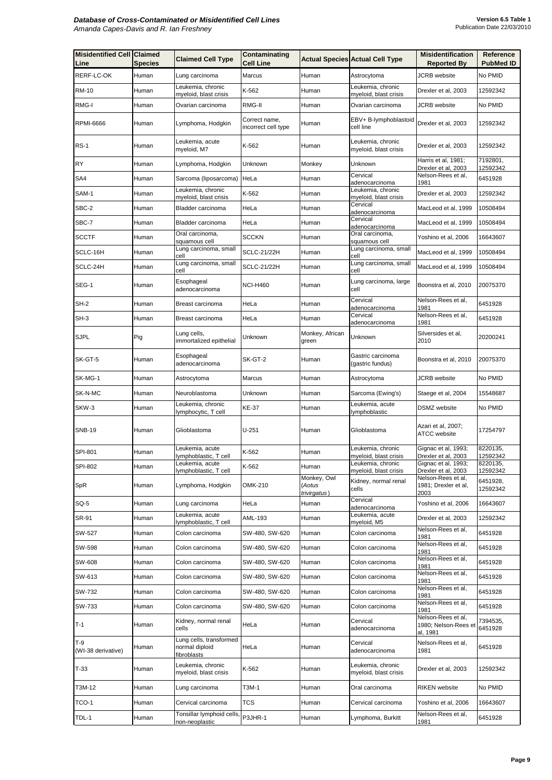| <b>Misidentified Cell Claimed</b><br>Line | <b>Species</b> | <b>Claimed Cell Type</b>                                  | Contaminating<br><b>Cell Line</b>    |                          | <b>Actual Species Actual Cell Type</b>       | <b>Misidentification</b><br><b>Reported By</b>     | <b>Reference</b><br><b>PubMed ID</b> |
|-------------------------------------------|----------------|-----------------------------------------------------------|--------------------------------------|--------------------------|----------------------------------------------|----------------------------------------------------|--------------------------------------|
| <b>RERF-LC-OK</b>                         | Human          | Lung carcinoma                                            | Marcus                               | Human                    | Astrocytoma                                  | <b>JCRB</b> website                                | No PMID                              |
| <b>RM-10</b>                              | Human          | Leukemia, chronic<br>myeloid, blast crisis                | K-562                                | Human                    | Leukemia, chronic<br>myeloid, blast crisis   | Drexler et al, 2003                                | 12592342                             |
| <b>RMG-I</b>                              | Human          | Ovarian carcinoma                                         | RMG-II                               | Human                    | Ovarian carcinoma                            | <b>JCRB</b> website                                | No PMID                              |
| <b>RPMI-6666</b>                          | Human          | Lymphoma, Hodgkin                                         | Correct name,<br>incorrect cell type | <b>I</b> Human           | EBV+ B-lymphoblastoid<br>cell line           | Drexler et al, 2003                                | 12592342                             |
| $RS-1$                                    | Human          | Leukemia, acute<br>myeloid, M7                            | K-562                                | Human                    | Leukemia, chronic<br>myeloid, blast crisis   | Drexler et al, 2003                                | 12592342                             |
| <b>R</b> Y                                | Human          | Lymphoma, Hodgkin                                         | Unknown                              | Monkey                   | Unknown                                      | Harris et al, 1981;<br>Drexler et al, 2003         | 7192801,<br>12592342                 |
| SA4                                       | Human          | Sarcoma (liposarcoma)   HeLa                              |                                      | Human                    | Cervical<br>adenocarcinoma                   | Nelson-Rees et al,<br>1981                         | 6451928                              |
| SAM-1                                     | Human          | Leukemia, chronic<br>myeloid, blast crisis                | K-562                                | Human                    | Leukemia, chronic<br>myeloid, blast crisis   | Drexler et al, 2003                                | 12592342                             |
| SBC-2                                     | Human          | Bladder carcinoma                                         | HeLa                                 | Human                    | Cervical<br>adenocarcinoma                   | MacLeod et al, 1999                                | 10508494                             |
| SBC-7                                     | Human          | Bladder carcinoma                                         | HeLa                                 | Human                    | Cervical<br>adenocarcinoma                   | MacLeod et al, 1999                                | 10508494                             |
| <b>SCCTF</b>                              | Human          | Oral carcinoma,                                           | <b>SCCKN</b>                         | Human                    | Oral carcinoma,                              | Yoshino et al, 2006                                | 16643607                             |
| SCLC-16H                                  | Human          | squamous cell<br>Lung carcinoma, small                    | <b>SCLC-21/22H</b>                   | Human                    | squamous cell<br>Lung carcinoma, small       | MacLeod et al, 1999                                | 10508494                             |
| SCLC-24H                                  | Human          | cell<br>Lung carcinoma, small                             | <b>SCLC-21/22H</b>                   | Human                    | cell<br>Lung carcinoma, small                | MacLeod et al, 1999                                | 10508494                             |
| SEG-1                                     | Human          | cell<br>Esophageal<br>adenocarcinoma                      | <b>NCI-H460</b>                      | Human                    | cell<br>Lung carcinoma, large<br>cell        | Boonstra et al, 2010                               | 20075370                             |
|                                           |                |                                                           | HeLa                                 |                          | Cervical                                     | Nelson-Rees et al,                                 |                                      |
| $SH-2$                                    | Human          | Breast carcinoma                                          |                                      | Human                    | adenocarcinoma<br>Cervical                   | 1981<br>Nelson-Rees et al,                         | 6451928                              |
| SH-3                                      | Human          | Breast carcinoma                                          | HeLa                                 | Human                    | adenocarcinoma                               | 1981                                               | 6451928                              |
| <b>SJPL</b>                               | Pig            | Lung cells,<br>immortalized epithelial                    | Unknown                              | Monkey, African<br>green | Unknown                                      | Silversides et al,<br>2010                         | 20200241                             |
| SK-GT-5                                   | Human          | Esophageal<br>adenocarcinoma                              | SK-GT-2                              | Human                    | Gastric carcinoma<br>(gastric fundus)        | Boonstra et al, 2010                               | 20075370                             |
| SK-MG-1                                   | Human          | Astrocytoma                                               | <b>Marcus</b>                        | Human                    | Astrocytoma                                  | <b>JCRB</b> website                                | No PMID                              |
| <b>SK-N-MC</b>                            | Human          | Neuroblastoma                                             | Unknown                              | Human                    | Sarcoma (Ewing's)                            | Staege et al, 2004                                 | 15548687                             |
| SKW-3                                     | Human          | Leukemia, chronic<br>lymphocytic, T cell                  | <b>KE-37</b>                         | Human                    | Leukemia, acute<br>lymphoblastic             | <b>DSMZ</b> website                                | No PMID                              |
| <b>SNB-19</b>                             | Human          | Glioblastoma                                              | $U-251$                              | Human                    | Glioblastoma                                 | Azari et al, 2007;<br><b>ATCC</b> website          | 17254797                             |
| <b>SPI-801</b>                            | Human          | Leukemia, acute<br>lymphoblastic, T cell                  | K-562                                | Human                    | Leukemia, chronic<br>myeloid, blast crisis   | Gignac et al, 1993;<br>Drexler et al, 2003         | 8220135,<br>12592342                 |
| <b>SPI-802</b>                            | Human          | Leukemia, acute<br>lymphoblastic, T cell                  | K-562                                | Human                    | Leukemia, chronic<br>myeloid, blast crisis   | Gignac et al, 1993;<br>Drexler et al, 2003         | 8220135,<br>12592342                 |
| <b>SpR</b>                                | Human          | Lymphoma, Hodgkin                                         | <b>OMK-210</b>                       | Monkey, Owl<br>(Aotus    | Kidney, normal renal<br>cells                | Nelson-Rees et al,<br>1981; Drexler et al,         | 6451928,<br>12592342                 |
| SQ-5                                      | Human          | Lung carcinoma                                            | HeLa                                 | trivirgatus)<br>Human    | Cervical                                     | 2003<br>Yoshino et al, 2006                        | 16643607                             |
| <b>SR-91</b>                              | Human          | Leukemia, acute                                           | AML-193                              | Human                    | adenocarcinoma<br>Leukemia, acute            | Drexler et al, 2003                                | 12592342                             |
| <b>SW-527</b>                             | Human          | lymphoblastic, T cell<br>Colon carcinoma                  | SW-480, SW-620                       | Human                    | myeloid, M5<br>Colon carcinoma               | Nelson-Rees et al,                                 | 6451928                              |
| <b>SW-598</b>                             | Human          | Colon carcinoma                                           | SW-480, SW-620                       | Human                    | Colon carcinoma                              | 1981<br>Nelson-Rees et al,                         | 6451928                              |
| <b>SW-608</b>                             | Human          | Colon carcinoma                                           | SW-480, SW-620                       | Human                    | Colon carcinoma                              | 1981<br>Nelson-Rees et al,                         | 6451928                              |
| SW-613                                    | Human          | Colon carcinoma                                           | SW-480, SW-620                       | Human                    | Colon carcinoma                              | 1981<br>Nelson-Rees et al,                         | 6451928                              |
| SW-732                                    | Human          | Colon carcinoma                                           | SW-480, SW-620                       | <b>Human</b>             | Colon carcinoma                              | 1981<br>Nelson-Rees et al,                         | 6451928                              |
| <b>SW-733</b>                             | Human          | Colon carcinoma                                           | SW-480, SW-620                       | Human                    | Colon carcinoma                              | 1981<br>Nelson-Rees et al,                         | 6451928                              |
| $T-1$                                     | Human          | Kidney, normal renal                                      | HeLa                                 | Human                    | Cervical                                     | 1981<br>Nelson-Rees et al,<br>1980; Nelson-Rees et | 7394535,<br>6451928                  |
| $T-9$<br>(WI-38 derivative)               | Human          | cells<br>Lung cells, transformed<br>normal diploid        | HeLa                                 | Human                    | adenocarcinoma<br>Cervical<br>adenocarcinoma | al, 1981<br>Nelson-Rees et al,<br>1981             | 6451928                              |
| T-33                                      | Human          | fibroblasts<br>Leukemia, chronic<br>myeloid, blast crisis | K-562                                | Human                    | Leukemia, chronic<br>myeloid, blast crisis   | Drexler et al, 2003                                | 12592342                             |
| T3M-12                                    | Human          | Lung carcinoma                                            | T3M-1                                | Human                    | Oral carcinoma                               | <b>RIKEN</b> website                               | No PMID                              |
| TCO-1                                     | Human          | Cervical carcinoma                                        | <b>TCS</b>                           | Human                    | Cervical carcinoma                           | Yoshino et al, 2006                                | 16643607                             |
| TDL-1                                     | Human          | Tonsillar lymphoid cells,<br>non-neoplastic               | P3JHR-1                              | Human                    | Lymphoma, Burkitt                            | Nelson-Rees et al,<br>1981                         | 6451928                              |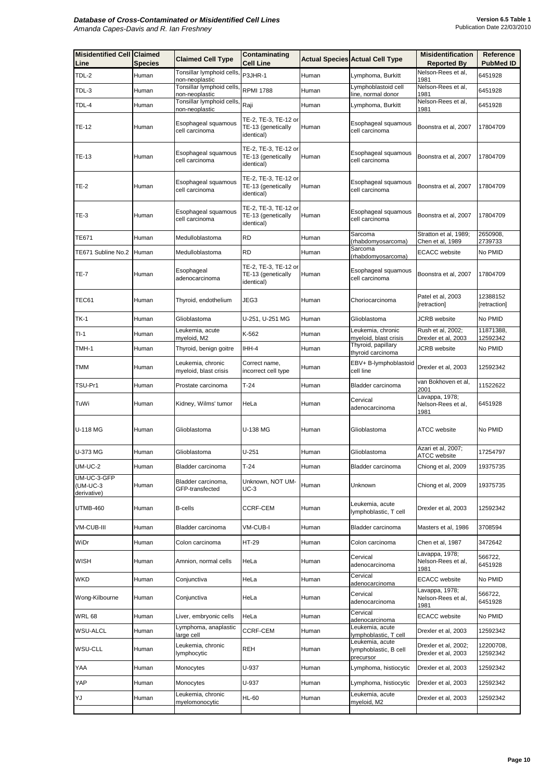| <b>Misidentified Cell Claimed</b><br>Line | <b>Species</b> | <b>Claimed Cell Type</b>                                | <b>Contaminating</b><br><b>Cell Line</b>                  |                | <b>Actual Species Actual Cell Type</b>                | <b>Misidentification</b><br><b>Reported By</b> | <b>Reference</b><br><b>PubMed ID</b> |
|-------------------------------------------|----------------|---------------------------------------------------------|-----------------------------------------------------------|----------------|-------------------------------------------------------|------------------------------------------------|--------------------------------------|
| TDL-2                                     | Human          | Tonsillar lymphoid cells,<br>non-neoplastic             | P3JHR-1                                                   | Human          | Lymphoma, Burkitt                                     | Nelson-Rees et al,<br>1981                     | 6451928                              |
| TDL-3                                     | Human          | Tonsillar lymphoid cells, RPMI 1788<br>non-neoplastic   |                                                           | Human          | Lymphoblastoid cell<br>line, normal donor             | Nelson-Rees et al,<br>1981                     | 6451928                              |
| TDL-4                                     | Human          | Tonsillar lymphoid cells, Raji                          |                                                           | Human          | Lymphoma, Burkitt                                     | Nelson-Rees et al,<br>1981                     | 6451928                              |
| <b>TE-12</b>                              | Human          | non-neoplastic<br>Esophageal squamous<br>cell carcinoma | TE-2, TE-3, TE-12 or<br>TE-13 (genetically<br>identical)  | Human          | Esophageal squamous<br>cell carcinoma                 | Boonstra et al, 2007                           | 17804709                             |
| <b>TE-13</b>                              | Human          | Esophageal squamous<br>cell carcinoma                   | TE-2, TE-3, TE-12 or <br>TE-13 (genetically<br>identical) | Human          | Esophageal squamous<br>cell carcinoma                 | Boonstra et al, 2007                           | 17804709                             |
| <b>TE-2</b>                               | Human          | Esophageal squamous<br>cell carcinoma                   | TE-2, TE-3, TE-12 or <br>TE-13 (genetically<br>identical) | Human          | Esophageal squamous<br>cell carcinoma                 | Boonstra et al, 2007                           | 17804709                             |
| <b>TE-3</b>                               | Human          | Esophageal squamous<br>cell carcinoma                   | TE-2, TE-3, TE-12 or<br>TE-13 (genetically<br>identical)  | Human          | Esophageal squamous<br>cell carcinoma                 | Boonstra et al, 2007                           | 17804709                             |
| <b>TE671</b>                              | Human          | Medulloblastoma                                         | <b>RD</b>                                                 | Human          | Sarcoma<br>(rhabdomyosarcoma)                         | Stratton et al, 1989;<br>Chen et al, 1989      | 2650908,<br>2739733                  |
| TE671 Subline No.2                        | Human          | Medulloblastoma                                         | <b>RD</b>                                                 | Human          | Sarcoma<br>(rhabdomyosarcoma)                         | <b>ECACC</b> website                           | No PMID                              |
| <b>TE-7</b>                               | Human          | Esophageal<br>adenocarcinoma                            | TE-2, TE-3, TE-12 or<br>TE-13 (genetically<br>identical)  | Human          | Esophageal squamous<br>cell carcinoma                 | Boonstra et al, 2007                           | 17804709                             |
| TEC61                                     | Human          | Thyroid, endothelium                                    | JEG3                                                      | Human          | Choriocarcinoma                                       | Patel et al, 2003<br>[retraction]              | 12388152<br>[retraction]             |
| <b>TK-1</b>                               | Human          | Glioblastoma                                            | U-251, U-251 MG                                           | Human          | Glioblastoma                                          | JCRB website                                   | No PMID                              |
| $TI-1$                                    | Human          | Leukemia, acute<br>myeloid, M2                          | K-562                                                     | Human          | Leukemia, chronic<br>myeloid, blast crisis            | Rush et al, 2002;<br>Drexler et al, 2003       | 11871388,<br>12592342                |
| TMH-1                                     | Human          | Thyroid, benign goitre                                  | IHH-4                                                     | Human          | Thyroid, papillary<br>thyroid carcinoma               | JCRB website                                   | No PMID                              |
| <b>TMM</b>                                | Human          | Leukemia, chronic<br>myeloid, blast crisis              | Correct name,<br>incorrect cell type                      | Human          | EBV+ B-lymphoblastoid<br>cell line                    | Drexler et al, 2003                            | 12592342                             |
| TSU-Pr1                                   | Human          | Prostate carcinoma                                      | $T-24$                                                    | Human          | Bladder carcinoma                                     | van Bokhoven et al,<br>2001                    | 11522622                             |
| TuWi                                      | Human          | Kidney, Wilms' tumor                                    | HeLa                                                      | Human          | Cervical<br>adenocarcinoma                            | Lavappa, 1978;<br>Nelson-Rees et al,<br>1981   | 6451928                              |
| $U-118MG$                                 | Human          | Glioblastoma                                            | U-138 MG                                                  | Human          | Glioblastoma                                          | <b>ATCC</b> website                            | No PMID                              |
| U-373 MG                                  | Human          | Glioblastoma                                            | $U-251$                                                   | Human          | Glioblastoma                                          | Azari et al, 2007;<br><b>ATCC</b> website      | 17254797                             |
| UM-UC-2                                   | Human          | Bladder carcinoma                                       | $T-24$                                                    | Human          | Bladder carcinoma                                     | Chiong et al, 2009                             | 19375735                             |
| UM-UC-3-GFP<br>$(UM-UC-3)$<br>derivative) | Human          | Bladder carcinoma,<br>GFP-transfected                   | Unknown, NOT UM-<br>$UC-3$                                | Human          | Unknown                                               | Chiong et al, 2009                             | 19375735                             |
| UTMB-460                                  | Human          | <b>B-cells</b>                                          | <b>CCRF-CEM</b>                                           | Human          | Leukemia, acute<br>lymphoblastic, T cell              | Drexler et al, 2003                            | 12592342                             |
| <b>VM-CUB-III</b>                         | Human          | Bladder carcinoma                                       | <b>VM-CUB-I</b>                                           | Human          | Bladder carcinoma                                     | Masters et al, 1986                            | 3708594                              |
| WiDr                                      | Human          | Colon carcinoma                                         | <b>HT-29</b>                                              | Human          | Colon carcinoma                                       | Chen et al, 1987                               | 3472642                              |
| <b>WISH</b>                               | Human          | Amnion, normal cells                                    | HeLa                                                      | <b>I</b> Human | Cervical<br>adenocarcinoma                            | Lavappa, 1978;<br>Nelson-Rees et al,<br>1981   | 566722,<br>6451928                   |
| <b>WKD</b>                                | Human          | Conjunctiva                                             | HeLa                                                      | Human          | Cervical<br>adenocarcinoma                            | <b>ECACC</b> website                           | No PMID                              |
| Wong-Kilbourne                            | Human          | Conjunctiva                                             | HeLa                                                      | Human          | Cervical<br>adenocarcinoma                            | Lavappa, 1978;<br>Nelson-Rees et al,<br>1981   | 566722,<br>6451928                   |
| <b>WRL 68</b>                             | Human          | Liver, embryonic cells                                  | HeLa                                                      | Human          | Cervical<br>adenocarcinoma                            | <b>ECACC</b> website                           | No PMID                              |
| <b>WSU-ALCL</b>                           | Human          | Lymphoma, anaplastic<br>large cell                      | <b>CCRF-CEM</b>                                           | Human          | Leukemia, acute<br>lymphoblastic, T cell              | Drexler et al, 2003                            | 12592342                             |
| <b>WSU-CLL</b>                            | Human          | Leukemia, chronic<br>lymphocytic                        | <b>REH</b>                                                | Human          | Leukemia, acute<br>lymphoblastic, B cell<br>precursor | Drexler et al, 2002;<br>Drexler et al, 2003    | 12200708,<br>12592342                |
| YAA                                       | Human          | Monocytes                                               | U-937                                                     | Human          | Lymphoma, histiocytic                                 | Drexler et al, 2003                            | 12592342                             |
| <b>YAP</b>                                | Human          | Monocytes                                               | U-937                                                     | Human          | Lymphoma, histiocytic                                 | Drexler et al, 2003                            | 12592342                             |
| YJ                                        | Human          | Leukemia, chronic<br>myelomonocytic                     | <b>HL-60</b>                                              | Human          | Leukemia, acute<br>myeloid, M2                        | Drexler et al, 2003                            | 12592342                             |
|                                           |                |                                                         |                                                           |                |                                                       |                                                |                                      |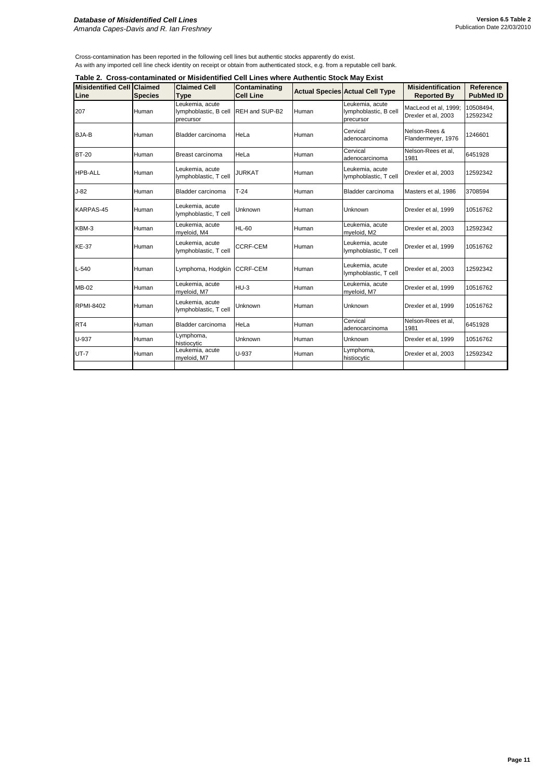Cross-contamination has been reported in the following cell lines but authentic stocks apparently do exist. As with any imported cell line check identity on receipt or obtain from authenticated stock, e.g. from a reputable cell bank.

|  | Table 2. Cross-contaminated or Misidentified Cell Lines where Authentic Stock May Exist |  |  |  |  |
|--|-----------------------------------------------------------------------------------------|--|--|--|--|
|--|-----------------------------------------------------------------------------------------|--|--|--|--|

| <b>Misidentified Cell</b><br><b>Claimed</b><br><b>Species</b> | <b>Claimed Cell</b><br><b>Type</b>                    | <b>Contaminating</b><br><b>Cell Line</b> |       |                                                       | <b>Misidentification</b><br><b>Reported By</b> | <b>Reference</b><br><b>PubMed ID</b> |
|---------------------------------------------------------------|-------------------------------------------------------|------------------------------------------|-------|-------------------------------------------------------|------------------------------------------------|--------------------------------------|
| Human                                                         | Leukemia, acute<br>lymphoblastic, B cell<br>precursor | REH and SUP-B2                           | Human | Leukemia, acute<br>lymphoblastic, B cell<br>precursor | MacLeod et al, 1999;<br>Drexler et al, 2003    | 10508494,<br>12592342                |
| Human                                                         | Bladder carcinoma                                     | HeLa                                     | Human | Cervical<br>adenocarcinoma                            | Nelson-Rees &<br>Flandermeyer, 1976            | 1246601                              |
| Human                                                         | Breast carcinoma                                      | HeLa                                     | Human | Cervical<br>adenocarcinoma                            | Nelson-Rees et al,<br>1981                     | 6451928                              |
| Human                                                         | Leukemia, acute<br>lymphoblastic, T cell              | <b>JURKAT</b>                            | Human | Leukemia, acute<br>lymphoblastic, T cell              | Drexler et al, 2003                            | 12592342                             |
| Human                                                         | Bladder carcinoma                                     | $T-24$                                   | Human | Bladder carcinoma                                     | Masters et al, 1986                            | 3708594                              |
| Human                                                         | Leukemia, acute<br>lymphoblastic, T cell              | Unknown                                  | Human | Unknown                                               | Drexler et al, 1999                            | 10516762                             |
| Human                                                         | Leukemia, acute<br>myeloid, M4                        | <b>HL-60</b>                             | Human | Leukemia, acute<br>myeloid, M2                        | Drexler et al, 2003                            | 12592342                             |
| Human                                                         | Leukemia, acute<br>lymphoblastic, T cell              | <b>CCRF-CEM</b>                          | Human | Leukemia, acute<br>lymphoblastic, T cell              | Drexler et al, 1999                            | 10516762                             |
| <b>Human</b>                                                  | Lymphoma, Hodgkin                                     | <b>ICCRF-CEM</b>                         | Human | Leukemia, acute<br>lymphoblastic, T cell              | Drexler et al, 2003                            | 12592342                             |
| Human                                                         | Leukemia, acute<br>myeloid, M7                        | HU-3                                     | Human | Leukemia, acute<br>myeloid, M7                        | Drexler et al, 1999                            | 10516762                             |
| Human                                                         | Leukemia, acute<br>lymphoblastic, T cell              | <b>Unknown</b>                           | Human | Unknown                                               | Drexler et al, 1999                            | 10516762                             |
| Human                                                         | Bladder carcinoma                                     | HeLa                                     | Human | Cervical<br>adenocarcinoma                            | Nelson-Rees et al,<br>1981                     | 6451928                              |
| Human                                                         | Lymphoma,<br>histiocytic                              | Unknown                                  | Human | Unknown                                               | Drexler et al, 1999                            | 10516762                             |
| Human                                                         | Leukemia, acute<br>myeloid, M7                        | U-937                                    | Human | Lymphoma,<br>histiocytic                              | Drexler et al, 2003                            | 12592342                             |
|                                                               |                                                       |                                          |       |                                                       | <b>Actual Species Actual Cell Type</b>         |                                      |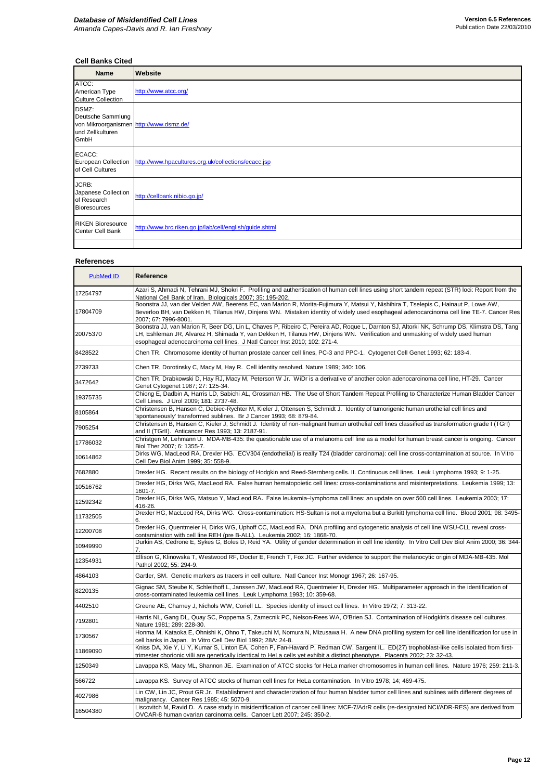## **Cell Banks Cited**

| <b>Name</b>                                                                                       | <b>Website</b>                                                            |
|---------------------------------------------------------------------------------------------------|---------------------------------------------------------------------------|
| ATCC:<br>American Type<br><b>Culture Collection</b>                                               | http://www.atcc.org/                                                      |
| DSMZ:<br>Deutsche Sammlung<br>von Mikroorganismen http://www.dsmz.de/<br>und Zellkulturen<br>GmbH |                                                                           |
| ECACC:<br>of Cell Cultures                                                                        | European Collection   http://www.hpacultures.org.uk/collections/ecacc.jsp |
| JCRB:<br>Japanese Collection<br>of Research<br><b>Bioresources</b>                                | http://cellbank.nibio.go.jp/                                              |
| <b>RIKEN Bioresource</b><br><b>Center Cell Bank</b>                                               | http://www.brc.riken.go.jp/lab/cell/english/guide.shtml                   |
|                                                                                                   |                                                                           |

## **References**

| <b>PubMed ID</b> | Reference                                                                                                                                                                                                                                                                                                                                                |
|------------------|----------------------------------------------------------------------------------------------------------------------------------------------------------------------------------------------------------------------------------------------------------------------------------------------------------------------------------------------------------|
| 17254797         | Azari S, Ahmadi N, Tehrani MJ, Shokri F. Profiling and authentication of human cell lines using short tandem repeat (STR) loci: Report from the<br>National Cell Bank of Iran. Biologicals 2007; 35: 195-202.                                                                                                                                            |
| 17804709         | Boonstra JJ, van der Velden AW, Beerens EC, van Marion R, Morita-Fujimura Y, Matsui Y, Nishihira T, Tselepis C, Hainaut P, Lowe AW,<br>Beverloo BH, van Dekken H, Tilanus HW, Dinjens WN. Mistaken identity of widely used esophageal adenocarcinoma cell line TE-7. Cancer Res<br>2007; 67: 7996-8001.                                                  |
| 20075370         | Boonstra JJ, van Marion R, Beer DG, Lin L, Chaves P, Ribeiro C, Pereira AD, Roque L, Darnton SJ, Altorki NK, Schrump DS, Klimstra DS, Tang<br>LH, Eshleman JR, Alvarez H, Shimada Y, van Dekken H, Tilanus HW, Dinjens WN. Verification and unmasking of widely used human<br>esophageal adenocarcinoma cell lines. J Natl Cancer Inst 2010; 102: 271-4. |
| 8428522          | Chen TR. Chromosome identity of human prostate cancer cell lines, PC-3 and PPC-1. Cytogenet Cell Genet 1993; 62: 183-4.                                                                                                                                                                                                                                  |
| 2739733          | Chen TR, Dorotinsky C, Macy M, Hay R. Cell identity resolved. Nature 1989; 340: 106.                                                                                                                                                                                                                                                                     |
| 3472642          | Chen TR, Drabkowski D, Hay RJ, Macy M, Peterson W Jr. WiDr is a derivative of another colon adenocarcinoma cell line, HT-29. Cancer<br>Genet Cytogenet 1987; 27: 125-34.                                                                                                                                                                                 |
| 19375735         | Chiong E, Dadbin A, Harris LD, Sabichi AL, Grossman HB. The Use of Short Tandem Repeat Profiling to Characterize Human Bladder Cancer<br>Cell Lines. J Urol 2009; 181: 2737-48.                                                                                                                                                                          |
| 8105864          | Christensen B, Hansen C, Debiec-Rychter M, Kieler J, Ottensen S, Schmidt J. Identity of tumorigenic human urothelial cell lines and<br>'spontaneously' transformed sublines. Br J Cancer 1993; 68: 879-84.                                                                                                                                               |
| 7905254          | Christensen B, Hansen C, Kieler J, Schmidt J. Identity of non-malignant human urothelial cell lines classified as transformation grade I (TGrI)<br>and II (TGrII). Anticancer Res 1993; 13: 2187-91.                                                                                                                                                     |
| 17786032         | Christgen M, Lehmann U. MDA-MB-435: the questionable use of a melanoma cell line as a model for human breast cancer is ongoing. Cancer<br>Biol Ther 2007; 6: 1355-7.                                                                                                                                                                                     |
| 10614862         | Dirks WG, MacLeod RA, Drexler HG. ECV304 (endothelial) is really T24 (bladder carcinoma): cell line cross-contamination at source. In Vitro<br>Cell Dev Biol Anim 1999; 35: 558-9.                                                                                                                                                                       |
| 7682880          | Drexler HG. Recent results on the biology of Hodgkin and Reed-Sternberg cells. II. Continuous cell lines. Leuk Lymphoma 1993; 9: 1-25.                                                                                                                                                                                                                   |
| 10516762         | Drexler HG, Dirks WG, MacLeod RA. False human hematopoietic cell lines: cross-contaminations and misinterpretations. Leukemia 1999; 13:<br>1601-7.                                                                                                                                                                                                       |
| 12592342         | Drexler HG, Dirks WG, Matsuo Y, MacLeod RA. False leukemia-lymphoma cell lines: an update on over 500 cell lines. Leukemia 2003; 17:<br>416-26.                                                                                                                                                                                                          |
| 11732505         | Drexler HG, MacLeod RA, Dirks WG. Cross-contamination: HS-Sultan is not a myeloma but a Burkitt lymphoma cell line. Blood 2001; 98: 3495-<br>ხ.                                                                                                                                                                                                          |
| 12200708         | Drexler HG, Quentmeier H, Dirks WG, Uphoff CC, MacLeod RA. DNA profiling and cytogenetic analysis of cell line WSU-CLL reveal cross-<br>contamination with cell line REH (pre B-ALL). Leukemia 2002; 16: 1868-70.                                                                                                                                        |
| 10949990         | Durkin AS, Cedrone E, Sykes G, Boles D, Reid YA. Utility of gender determination in cell line identity. In Vitro Cell Dev Biol Anim 2000; 36: 344-                                                                                                                                                                                                       |
| 12354931         | Ellison G, Klinowska T, Westwood RF, Docter E, French T, Fox JC. Further evidence to support the melanocytic origin of MDA-MB-435. Mol<br>Pathol 2002; 55: 294-9.                                                                                                                                                                                        |
| 4864103          | Gartler, SM. Genetic markers as tracers in cell culture. Natl Cancer Inst Monogr 1967; 26: 167-95.                                                                                                                                                                                                                                                       |
| 8220135          | Gignac SM, Steube K, Schleithoff L, Janssen JW, MacLeod RA, Quentmeier H, Drexler HG. Multiparameter approach in the identification of<br>cross-contaminated leukemia cell lines. Leuk Lymphoma 1993; 10: 359-68.                                                                                                                                        |
| 4402510          | Greene AE, Charney J, Nichols WW, Coriell LL. Species identity of insect cell lines. In Vitro 1972; 7: 313-22.                                                                                                                                                                                                                                           |
| 7192801          | Harris NL, Gang DL, Quay SC, Poppema S, Zamecnik PC, Nelson-Rees WA, O'Brien SJ. Contamination of Hodgkin's disease cell cultures.<br>Nature 1981; 289: 228-30.                                                                                                                                                                                          |
| 1730567          | Honma M, Kataoka E, Ohnishi K, Ohno T, Takeuchi M, Nomura N, Mizusawa H. A new DNA profiling system for cell line identification for use in<br>cell banks in Japan. In Vitro Cell Dev Biol 1992; 28A: 24-8.                                                                                                                                              |
| 11869090         | Kniss DA, Xie Y, Li Y, Kumar S, Linton EA, Cohen P, Fan-Havard P, Redman CW, Sargent IL. ED(27) trophoblast-like cells isolated from first-<br>trimester chorionic villi are genetically identical to HeLa cells yet exhibit a distinct phenotype. Placenta 2002; 23: 32-43.                                                                             |
| 1250349          | Lavappa KS, Macy ML, Shannon JE. Examination of ATCC stocks for HeLa marker chromosomes in human cell lines. Nature 1976; 259: 211-3.                                                                                                                                                                                                                    |
| 566722           | Lavappa KS. Survey of ATCC stocks of human cell lines for HeLa contamination. In Vitro 1978; 14; 469-475.                                                                                                                                                                                                                                                |
| 4027986          | Lin CW, Lin JC, Prout GR Jr. Establishment and characterization of four human bladder tumor cell lines and sublines with different degrees of<br>malignancy. Cancer Res 1985; 45: 5070-9.                                                                                                                                                                |
| 16504380         | Liscovitch M, Ravid D. A case study in misidentification of cancer cell lines: MCF-7/AdrR cells (re-designated NCI/ADR-RES) are derived from<br>OVCAR-8 human ovarian carcinoma cells. Cancer Lett 2007; 245: 350-2.                                                                                                                                     |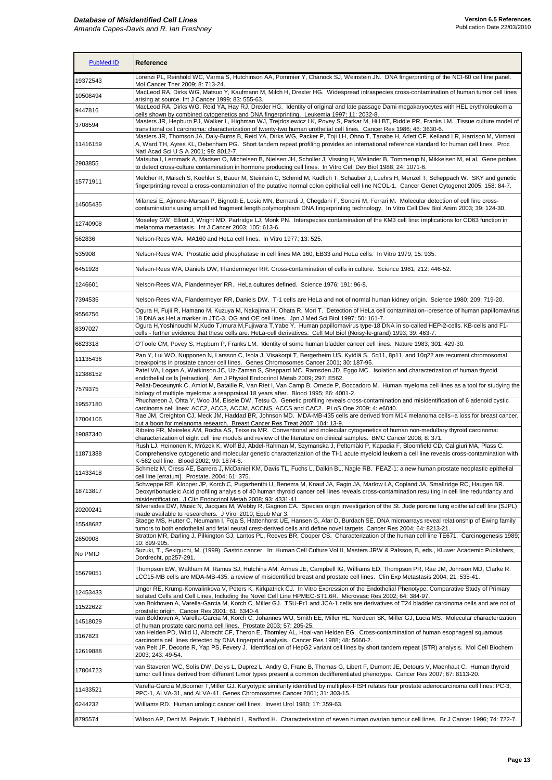# *Database of Misidentified Cell Lines*

*Amanda Capes-Davis and R. Ian Freshney*

#### **Version 6.5 References** Publication Date 22/03/2010

| <b>PubMed ID</b>   | <b>Reference</b>                                                                                                                                                                                                                                                                                                                                                                                              |
|--------------------|---------------------------------------------------------------------------------------------------------------------------------------------------------------------------------------------------------------------------------------------------------------------------------------------------------------------------------------------------------------------------------------------------------------|
| 19372543           | Lorenzi PL, Reinhold WC, Varma S, Hutchinson AA, Pommier Y, Chanock SJ, Weinstein JN. DNA fingerprinting of the NCI-60 cell line panel.<br>Mol Cancer Ther 2009; 8: 713-24.                                                                                                                                                                                                                                   |
| 10508494           | MacLeod RA, Dirks WG, Matsuo Y, Kaufmann M, Milch H, Drexler HG. Widespread intraspecies cross-contamination of human tumor cell lines<br>arising at source. Int J Cancer 1999; 83: 555-63.                                                                                                                                                                                                                   |
| 9447816            | MacLeod RA, Dirks WG, Reid YA, Hay RJ, Drexler HG. Identity of original and late passage Dami megakaryocytes with HEL erythroleukemia<br>cells shown by combined cytogenetics and DNA fingerprinting. Leukemia 1997; 11: 2032-8.                                                                                                                                                                              |
| 3708594            | Masters JR, Hepburn PJ, Walker L, Highman WJ, Trejdosiewicz LK, Povey S, Parkar M, Hill BT, Riddle PR, Franks LM. Tissue culture model of                                                                                                                                                                                                                                                                     |
| 11416159           | transitional cell carcinoma: characterization of twenty-two human urothelial cell lines. Cancer Res 1986; 46: 3630-6.<br>Masters JR, Thomson JA, Daly-Burns B, Reid YA, Dirks WG, Packer P, Toji LH, Ohno T, Tanabe H, Arlett CF, Kelland LR, Harrison M, Virmani<br>A, Ward TH, Ayres KL, Debenham PG. Short tandem repeat profiling provides an international reference standard for human cell lines. Proc |
|                    | Natl Acad Sci U S A 2001; 98: 8012-7.                                                                                                                                                                                                                                                                                                                                                                         |
| 2903855            | Matsuba I, Lernmark A, Madsen O, Michelsen B, Nielsen JH, Scholler J, Vissing H, Welinder B, Tommerup N, Mikkelsen M, et al. Gene probes<br>to detect cross-culture contamination in hormone producing cell lines. In Vitro Cell Dev Biol 1988; 24: 1071-6.                                                                                                                                                   |
| 15771911           | Melcher R, Maisch S, Koehler S, Bauer M, Steinlein C, Schmid M, Kudlich T, Schauber J, Luehrs H, Menzel T, Scheppach W. SKY and genetic<br>fingerprinting reveal a cross-contamination of the putative normal colon epithelial cell line NCOL-1. Cancer Genet Cytogenet 2005; 158: 84-7.                                                                                                                      |
| 14505435           | Milanesi E, Ajmone-Marsan P, Bignotti E, Losio MN, Bernardi J, Chegdani F, Soncini M, Ferrari M. Molecular detection of cell line cross-<br>contaminations using amplified fragment length polymorphism DNA fingerprinting technology. In Vitro Cell Dev Biol Anim 2003; 39: 124-30.                                                                                                                          |
| 12740908           | Moseley GW, Elliott J, Wright MD, Partridge LJ, Monk PN. Interspecies contamination of the KM3 cell line: implications for CD63 function in<br>melanoma metastasis. Int J Cancer 2003; 105: 613-6.                                                                                                                                                                                                            |
| 562836             | Nelson-Rees WA. MA160 and HeLa cell lines. In Vitro 1977; 13: 525.                                                                                                                                                                                                                                                                                                                                            |
| 535908             | Nelson-Rees WA. Prostatic acid phosphatase in cell lines MA 160, EB33 and HeLa cells. In Vitro 1979; 15: 935.                                                                                                                                                                                                                                                                                                 |
| 6451928            | Nelson-Rees WA, Daniels DW, Flandermeyer RR. Cross-contamination of cells in culture. Science 1981; 212: 446-52.                                                                                                                                                                                                                                                                                              |
| 1246601            | Nelson-Rees WA, Flandermeyer RR. HeLa cultures defined. Science 1976; 191: 96-8.                                                                                                                                                                                                                                                                                                                              |
| 7394535            | Nelson-Rees WA, Flandermeyer RR, Daniels DW. T-1 cells are HeLa and not of normal human kidney origin. Science 1980; 209: 719-20.                                                                                                                                                                                                                                                                             |
|                    | Ogura H, Fujii R, Hamano M, Kuzuya M, Nakajima H, Ohata R, Mori T. Detection of HeLa cell contamination--presence of human papillomavirus                                                                                                                                                                                                                                                                     |
| 9556756<br>8397027 | 18 DNA as HeLa marker in JTC-3, OG and OE cell lines. Jpn J Med Sci Biol 1997; 50: 161-7.<br>Ogura H, Yoshinouchi M, Kudo T, Imura M, Fujiwara T, Yabe Y. Human papillomavirus type-18 DNA in so-called HEP-2-cells. KB-cells and F1-                                                                                                                                                                         |
| 6823318            | cells - further evidence that these cells are. HeLa-cell derivatives. Cell Mol Biol (Noisy-le-grand) 1993; 39: 463-7.<br>O'Toole CM, Povey S, Hepburn P, Franks LM. Identity of some human bladder cancer cell lines. Nature 1983; 301: 429-30.                                                                                                                                                               |
| 11135436           | Pan Y, Lui WO, Nupponen N, Larsson C, Isola J, Visakorpi T, Bergerheim US, Kytölä S. 5q11, 8p11, and 10q22 are recurrent chromosomal                                                                                                                                                                                                                                                                          |
| 12388152           | breakpoints in prostate cancer cell lines. Genes Chromosomes Cancer 2001; 30: 187-95.<br>Patel VA, Logan A, Watkinson JC, Uz-Zaman S, Sheppard MC, Ramsden JD, Eggo MC. Isolation and characterization of human thyroid                                                                                                                                                                                       |
| 7579375            | endothelial cells [retraction]. Am J Physiol Endocrinol Metab 2009; 297: E562.<br>Pellat-Deceunynk C, Amiot M, Bataille R, Van Riet I, Van Camp B, Omede P, Boccadoro M. Human myeloma cell lines as a tool for studying the                                                                                                                                                                                  |
| 19557180           | biology of multiple myeloma: a reappraisal 18 years after. Blood 1995; 86: 4001-2.<br>Phuchareon J, Ohta Y, Woo JM, Eisele DW, Tetsu O. Genetic profiling reveals cross-contamination and misidentification of 6 adenoid cystic                                                                                                                                                                               |
| 17004106           | carcinoma cell lines: ACC2, ACC3, ACCM, ACCNS, ACCS and CAC2. PLoS One 2009; 4: e6040.<br>Rae JM, Creighton CJ, Meck JM, Haddad BR, Johnson MD. MDA-MB-435 cells are derived from M14 melanoma cells--a loss for breast cancer,                                                                                                                                                                               |
|                    | but a boon for melanoma research. Breast Cancer Res Treat 2007; 104: 13-9.<br>Ribeiro FR, Meireles AM, Rocha AS, Teixeira MR. Conventional and molecular cytogenetics of human non-medullary thyroid carcinoma:                                                                                                                                                                                               |
| 19087340           | characterization of eight cell line models and review of the literature on clinical samples. BMC Cancer 2008; 8: 371.<br>Rush LJ, Heinonen K, Mrózek K, Wolf BJ, Abdel-Rahman M, Szymanska J, Peltomäki P, Kapadia F, Bloomfield CD, Caligiuri MA, Plass C.                                                                                                                                                   |
| 11871388           | Comprehensive cytogenetic and molecular genetic characterization of the TI-1 acute myeloid leukemia cell line reveals cross-contamination with<br>K-562 cell line. Blood 2002; 99: 1874-6.                                                                                                                                                                                                                    |
| 11433418           | Schmelz M, Cress AE, Barrera J, McDaniel KM, Davis TL, Fuchs L, Dalkin BL, Nagle RB. PEAZ-1: a new human prostate neoplastic epithelial<br>cell line [erratum]. Prostate. 2004; 61: 375.                                                                                                                                                                                                                      |
| 18713817           | Schweppe RE, Klopper JP, Korch C, Pugazhenthi U, Benezra M, Knauf JA, Fagin JA, Marlow LA, Copland JA, Smallridge RC, Haugen BR.<br>Deoxyribonucleic Acid profiling analysis of 40 human thyroid cancer cell lines reveals cross-contamination resulting in cell line redundancy and<br>misidentification. J Clin Endocrinol Metab 2008; 93: 4331-41.                                                         |
| 20200241           | Silversides DW, Music N, Jacques M, Webby R, Gagnon CA. Species origin investigation of the St. Jude porcine lung epithelial cell line (SJPL)                                                                                                                                                                                                                                                                 |
| 15548687           | made available to researchers. J Virol 2010; Epub Mar 3.<br>Staege MS, Hutter C, Neumann I, Foja S, Hattenhorst UE, Hansen G, Afar D, Burdach SE. DNA microarrays reveal relationship of Ewing family<br>tumors to both endothelial and fetal neural crest-derived cells and define novel targets. Cancer Res 2004; 64: 8213-21.                                                                              |
| 2650908            | Stratton MR, Darling J, Pilkington GJ, Lantos PL, Reeves BR, Cooper CS. Characterization of the human cell line TE671. Carcinogenesis 1989;<br>10:899-905.                                                                                                                                                                                                                                                    |
| No PMID            | Suzuki, T., Sekiguchi, M. (1999). Gastric cancer. In: Human Cell Culture Vol II, Masters JRW & Palsson, B, eds., Kluwer Academic Publishers,<br>Dordrecht, pp257-291.                                                                                                                                                                                                                                         |
| 15679051           | Thompson EW, Waltham M, Ramus SJ, Hutchins AM, Armes JE, Campbell IG, Williams ED, Thompson PR, Rae JM, Johnson MD, Clarke R.<br>LCC15-MB cells are MDA-MB-435: a review of misidentified breast and prostate cell lines. Clin Exp Metastasis 2004; 21: 535-41.                                                                                                                                               |
| 12453433           | Unger RE, Krump-Konvalinkova V, Peters K, Kirkpatrick CJ. In Vitro Expression of the Endothelial Phenotype: Comparative Study of Primary<br>Isolated Cells and Cell Lines, Including the Novel Cell Line HPMEC-ST1.6R. Microvasc Res 2002; 64: 384-97.                                                                                                                                                        |
| 11522622           | van Bokhoven A, Varella-Garcia M, Korch C, Miller GJ. TSU-Pr1 and JCA-1 cells are derivatives of T24 bladder carcinoma cells and are not of<br>prostatic origin. Cancer Res 2001; 61: 6340-4.                                                                                                                                                                                                                 |
| 14518029           | van Bokhoven A, Varella-Garcia M, Korch C, Johannes WU, Smith EE, Miller HL, Nordeen SK, Miller GJ, Lucia MS. Molecular characterization<br>of human prostate carcinoma cell lines. Prostate 2003; 57: 205-25.                                                                                                                                                                                                |
| 3167823            | van Helden PD, Wiid IJ, Albrecht CF, Theron E, Thornley AL, Hoal-van Helden EG. Cross-contamination of human esophageal squamous<br>carcinoma cell lines detected by DNA fingerprint analysis. Cancer Res 1988; 48: 5660-2.                                                                                                                                                                                   |
| 12619888           | van Pelt JF, Decorte R, Yap PS, Fevery J. Identification of HepG2 variant cell lines by short tandem repeat (STR) analysis. Mol Cell Biochem<br>2003; 243: 49-54.                                                                                                                                                                                                                                             |
| 17804723           | van Staveren WC, Solís DW, Delys L, Duprez L, Andry G, Franc B, Thomas G, Libert F, Dumont JE, Detours V, Maenhaut C. Human thyroid<br>tumor cell lines derived from different tumor types present a common dedifferentiated phenotype. Cancer Res 2007; 67: 8113-20.                                                                                                                                         |
| 11433521           | Varella-Garcia M,Boomer T,Miller GJ. Karyotypic similarity identified by multiplex-FISH relates four prostate adenocarcinoma cell lines: PC-3,<br>PPC-1, ALVA-31, and ALVA-41. Genes Chromosomes Cancer 2001; 31: 303-15.                                                                                                                                                                                     |
| 6244232            | Williams RD. Human urologic cancer cell lines. Invest Urol 1980; 17: 359-63.                                                                                                                                                                                                                                                                                                                                  |
| 8795574            | Wilson AP, Dent M, Pejovic T, Hubbold L, Radford H. Characterisation of seven human ovarian tumour cell lines. Br J Cancer 1996; 74: 722-7.                                                                                                                                                                                                                                                                   |